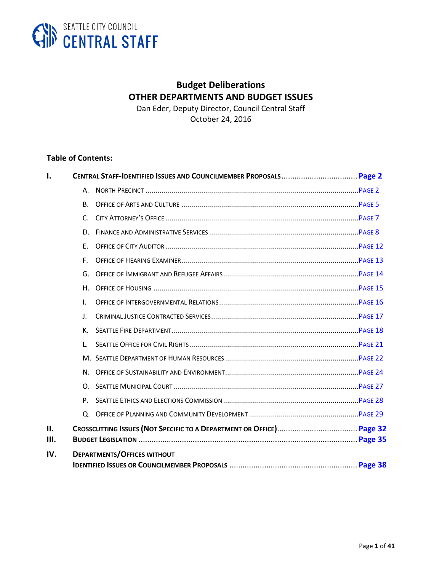

# **Budget Deliberations OTHER DEPARTMENTS AND BUDGET ISSUES**

Dan Eder, Deputy Director, Council Central Staff October 24, 2016

#### **Table of Contents:**

<span id="page-0-0"></span>

| Ι.          |                |                                    |  |
|-------------|----------------|------------------------------------|--|
|             | А.             |                                    |  |
|             | B <sub>r</sub> |                                    |  |
|             | $C_{1}$        |                                    |  |
|             | D.             |                                    |  |
|             | E.             |                                    |  |
|             | F.             |                                    |  |
|             | G.             |                                    |  |
|             | H.             |                                    |  |
|             | $\mathbf{L}$   |                                    |  |
|             | J.             |                                    |  |
|             | К.             |                                    |  |
|             | L.             |                                    |  |
|             |                |                                    |  |
|             |                |                                    |  |
|             | O.             |                                    |  |
|             |                |                                    |  |
|             |                |                                    |  |
| II.<br>III. |                |                                    |  |
| IV.         |                | <b>DEPARTMENTS/OFFICES WITHOUT</b> |  |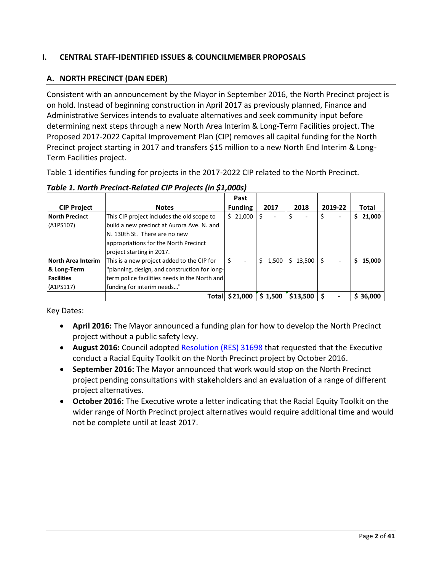## **I. CENTRAL STAFF-IDENTIFIED ISSUES & COUNCILMEMBER PROPOSALS**

## <span id="page-1-0"></span>**A. NORTH PRECINCT (DAN EDER)**

Consistent with an announcement by the Mayor in September 2016, the North Precinct project is on hold. Instead of beginning construction in April 2017 as previously planned, Finance and Administrative Services intends to evaluate alternatives and seek community input before determining next steps through a new North Area Interim & Long-Term Facilities project. The Proposed 2017-2022 Capital Improvement Plan (CIP) removes all capital funding for the North Precinct project starting in 2017 and transfers \$15 million to a new North End Interim & Long-Term Facilities project.

Table 1 identifies funding for projects in the 2017-2022 CIP related to the North Precinct.

|                       |                                               | Past           |             |          |         |             |
|-----------------------|-----------------------------------------------|----------------|-------------|----------|---------|-------------|
| <b>CIP Project</b>    | <b>Notes</b>                                  | <b>Funding</b> | 2017        | 2018     | 2019-22 | Total       |
| <b>North Precinct</b> | This CIP project includes the old scope to    | \$21,000       | \$<br>۰     | \$       |         | 21,000<br>S |
| (A1PS107)             | build a new precinct at Aurora Ave. N. and    |                |             |          |         |             |
|                       | N. 130th St. There are no new                 |                |             |          |         |             |
|                       | appropriations for the North Precinct         |                |             |          |         |             |
|                       | project starting in 2017.                     |                |             |          |         |             |
| North Area Interim    | This is a new project added to the CIP for    | \$             | 1,500<br>\$ | \$13,500 | Ś       | 15.000<br>S |
| & Long-Term           | "planning, design, and construction for long- |                |             |          |         |             |
| <b>Facilities</b>     | term police facilities needs in the North and |                |             |          |         |             |
| (A1PS117)             | funding for interim needs"                    |                |             |          |         |             |
|                       | Total                                         | \$21,000       | \$1,500     | \$13,500 |         | \$36,000    |

*Table 1. North Precinct-Related CIP Projects (in \$1,000s)*

Key Dates:

- **April 2016:** The Mayor announced a funding plan for how to develop the North Precinct project without a public safety levy.
- x **August 2016:** Council adopted [Resolution \(RES\) 31698](http://seattle.legistar.com/LegislationDetail.aspx?ID=2813152&GUID=48F8F1FC-0ADE-44A5-BBAB-8082E9B0621D&Options=Advanced&Search=) that requested that the Executive conduct a Racial Equity Toolkit on the North Precinct project by October 2016.
- **September 2016:** The Mayor announced that work would stop on the North Precinct project pending consultations with stakeholders and an evaluation of a range of different project alternatives.
- **October 2016:** The Executive wrote a letter indicating that the Racial Equity Toolkit on the wider range of North Precinct project alternatives would require additional time and would not be complete until at least 2017.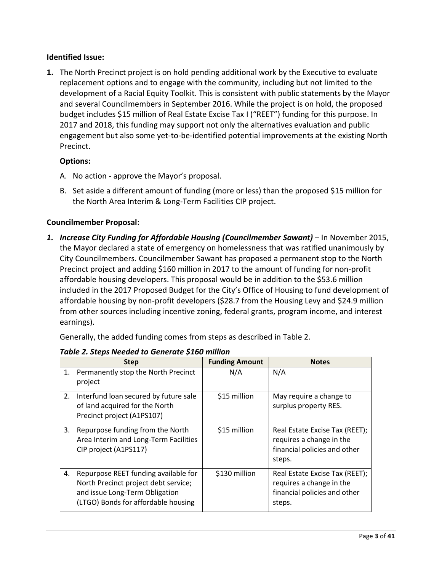#### **Identified Issue:**

**1.** The North Precinct project is on hold pending additional work by the Executive to evaluate replacement options and to engage with the community, including but not limited to the development of a Racial Equity Toolkit. This is consistent with public statements by the Mayor and several Councilmembers in September 2016. While the project is on hold, the proposed budget includes \$15 million of Real Estate Excise Tax I ("REET") funding for this purpose. In 2017 and 2018, this funding may support not only the alternatives evaluation and public engagement but also some yet-to-be-identified potential improvements at the existing North Precinct.

## **Options:**

- A. No action approve the Mayor's proposal.
- B. Set aside a different amount of funding (more or less) than the proposed \$15 million for the North Area Interim & Long-Term Facilities CIP project.

#### **Councilmember Proposal:**

*1. Increase City Funding for Affordable Housing (Councilmember Sawant)* – In November 2015, the Mayor declared a state of emergency on homelessness that was ratified unanimously by City Councilmembers. Councilmember Sawant has proposed a permanent stop to the North Precinct project and adding \$160 million in 2017 to the amount of funding for non-profit affordable housing developers. This proposal would be in addition to the \$53.6 million included in the 2017 Proposed Budget for the City's Office of Housing to fund development of affordable housing by non-profit developers (\$28.7 from the Housing Levy and \$24.9 million from other sources including incentive zoning, federal grants, program income, and interest earnings).

Generally, the added funding comes from steps as described in Table 2.

|    | <b>Step</b>                                                                                                                                           | <b>Funding Amount</b> | <b>Notes</b>                                                                                         |
|----|-------------------------------------------------------------------------------------------------------------------------------------------------------|-----------------------|------------------------------------------------------------------------------------------------------|
|    | 1. Permanently stop the North Precinct<br>project                                                                                                     | N/A                   | N/A                                                                                                  |
| 2. | Interfund loan secured by future sale<br>of land acquired for the North<br>Precinct project (A1PS107)                                                 | \$15 million          | May require a change to<br>surplus property RES.                                                     |
| 3. | Repurpose funding from the North<br>Area Interim and Long-Term Facilities<br>CIP project (A1PS117)                                                    | \$15 million          | Real Estate Excise Tax (REET);<br>requires a change in the<br>financial policies and other<br>steps. |
| 4. | Repurpose REET funding available for<br>North Precinct project debt service;<br>and issue Long-Term Obligation<br>(LTGO) Bonds for affordable housing | \$130 million         | Real Estate Excise Tax (REET);<br>requires a change in the<br>financial policies and other<br>steps. |

#### *Table 2. Steps Needed to Generate \$160 million*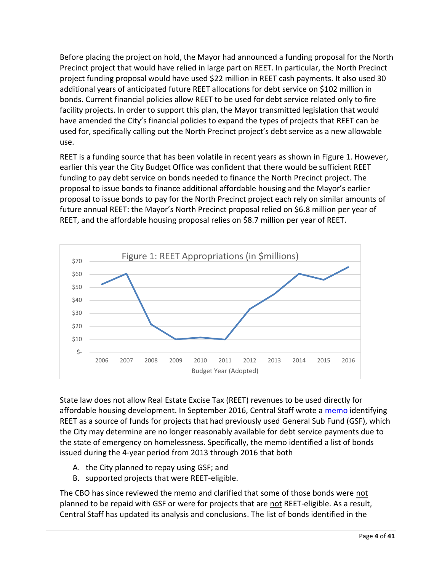Before placing the project on hold, the Mayor had announced a funding proposal for the North Precinct project that would have relied in large part on REET. In particular, the North Precinct project funding proposal would have used \$22 million in REET cash payments. It also used 30 additional years of anticipated future REET allocations for debt service on \$102 million in bonds. Current financial policies allow REET to be used for debt service related only to fire facility projects. In order to support this plan, the Mayor transmitted legislation that would have amended the City's financial policies to expand the types of projects that REET can be used for, specifically calling out the North Precinct project's debt service as a new allowable use.

REET is a funding source that has been volatile in recent years as shown in Figure 1. However, earlier this year the City Budget Office was confident that there would be sufficient REET funding to pay debt service on bonds needed to finance the North Precinct project. The proposal to issue bonds to finance additional affordable housing and the Mayor's earlier proposal to issue bonds to pay for the North Precinct project each rely on similar amounts of future annual REET: the Mayor's North Precinct proposal relied on \$6.8 million per year of REET, and the affordable housing proposal relies on \$8.7 million per year of REET.



State law does not allow Real Estate Excise Tax (REET) revenues to be used directly for affordable housing development. In September 2016, Central Staff wrote a [memo](http://sawant.seattle.gov/build-1000-homes-faq/) identifying REET as a source of funds for projects that had previously used General Sub Fund (GSF), which the City may determine are no longer reasonably available for debt service payments due to the state of emergency on homelessness. Specifically, the memo identified a list of bonds issued during the 4-year period from 2013 through 2016 that both

- A. the City planned to repay using GSF; and
- B. supported projects that were REET-eligible.

The CBO has since reviewed the memo and clarified that some of those bonds were not planned to be repaid with GSF or were for projects that are not REET-eligible. As a result, Central Staff has updated its analysis and conclusions. The list of bonds identified in the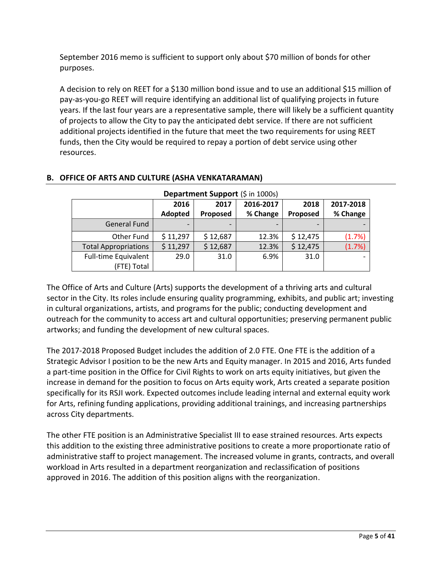September 2016 memo is sufficient to support only about \$70 million of bonds for other purposes.

A decision to rely on REET for a \$130 million bond issue and to use an additional \$15 million of pay-as-you-go REET will require identifying an additional list of qualifying projects in future years. If the last four years are a representative sample, there will likely be a sufficient quantity of projects to allow the City to pay the anticipated debt service. If there are not sufficient additional projects identified in the future that meet the two requirements for using REET funds, then the City would be required to repay a portion of debt service using other resources.

| Department Support (\$ in 1000s)    |          |          |           |          |           |  |  |  |
|-------------------------------------|----------|----------|-----------|----------|-----------|--|--|--|
|                                     | 2016     | 2017     | 2016-2017 | 2018     | 2017-2018 |  |  |  |
|                                     | Adopted  | Proposed | % Change  | Proposed | % Change  |  |  |  |
| <b>General Fund</b>                 |          |          |           |          |           |  |  |  |
| Other Fund                          | \$11,297 | \$12,687 | 12.3%     | \$12,475 | (1.7%)    |  |  |  |
| <b>Total Appropriations</b>         | \$11,297 | \$12,687 | 12.3%     | \$12,475 | (1.7%)    |  |  |  |
| Full-time Equivalent<br>(FTE) Total | 29.0     | 31.0     | 6.9%      | 31.0     |           |  |  |  |

## <span id="page-4-0"></span>**B. OFFICE OF ARTS AND CULTURE (ASHA VENKATARAMAN)**

The Office of Arts and Culture (Arts) supports the development of a thriving arts and cultural sector in the City. Its roles include ensuring quality programming, exhibits, and public art; investing in cultural organizations, artists, and programs for the public; conducting development and outreach for the community to access art and cultural opportunities; preserving permanent public artworks; and funding the development of new cultural spaces.

The 2017-2018 Proposed Budget includes the addition of 2.0 FTE. One FTE is the addition of a Strategic Advisor I position to be the new Arts and Equity manager. In 2015 and 2016, Arts funded a part-time position in the Office for Civil Rights to work on arts equity initiatives, but given the increase in demand for the position to focus on Arts equity work, Arts created a separate position specifically for its RSJI work. Expected outcomes include leading internal and external equity work for Arts, refining funding applications, providing additional trainings, and increasing partnerships across City departments.

The other FTE position is an Administrative Specialist III to ease strained resources. Arts expects this addition to the existing three administrative positions to create a more proportionate ratio of administrative staff to project management. The increased volume in grants, contracts, and overall workload in Arts resulted in a department reorganization and reclassification of positions approved in 2016. The addition of this position aligns with the reorganization.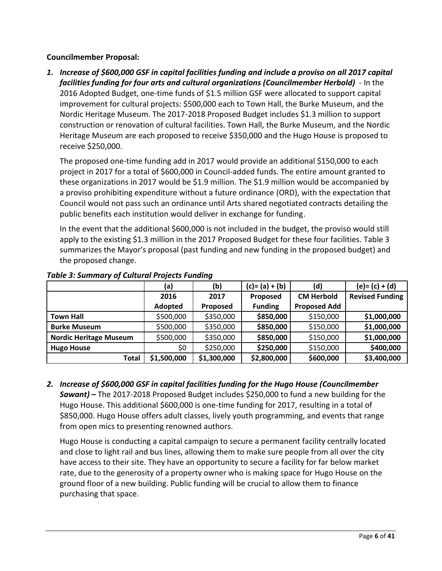#### **Councilmember Proposal:**

*1. Increase of \$600,000 GSF in capital facilities funding and include a proviso on all 2017 capital facilities funding for four arts and cultural organizations (Councilmember Herbold)* - In the 2016 Adopted Budget, one-time funds of \$1.5 million GSF were allocated to support capital improvement for cultural projects: \$500,000 each to Town Hall, the Burke Museum, and the Nordic Heritage Museum. The 2017-2018 Proposed Budget includes \$1.3 million to support construction or renovation of cultural facilities. Town Hall, the Burke Museum, and the Nordic Heritage Museum are each proposed to receive \$350,000 and the Hugo House is proposed to receive \$250,000.

The proposed one-time funding add in 2017 would provide an additional \$150,000 to each project in 2017 for a total of \$600,000 in Council-added funds. The entire amount granted to these organizations in 2017 would be \$1.9 million. The \$1.9 million would be accompanied by a proviso prohibiting expenditure without a future ordinance (ORD), with the expectation that Council would not pass such an ordinance until Arts shared negotiated contracts detailing the public benefits each institution would deliver in exchange for funding.

In the event that the additional \$600,000 is not included in the budget, the proviso would still apply to the existing \$1.3 million in the 2017 Proposed Budget for these four facilities. Table 3 summarizes the Mayor's proposal (past funding and new funding in the proposed budget) and the proposed change.

|                               | (a)         | (b)         | $(c)=(a)+(b)$  | (d)                 | $(e) = (c) + (d)$      |
|-------------------------------|-------------|-------------|----------------|---------------------|------------------------|
|                               | 2016        | 2017        | Proposed       | <b>CM Herbold</b>   | <b>Revised Funding</b> |
|                               | Adopted     | Proposed    | <b>Funding</b> | <b>Proposed Add</b> |                        |
| <b>Town Hall</b>              | \$500,000   | \$350,000   | \$850,000      | \$150,000           | \$1,000,000            |
| <b>Burke Museum</b>           | \$500,000   | \$350,000   | \$850,000      | \$150,000           | \$1,000,000            |
| <b>Nordic Heritage Museum</b> | \$500,000   | \$350,000   | \$850,000      | \$150,000           | \$1,000,000            |
| <b>Hugo House</b>             | \$0         | \$250,000   | \$250,000      | \$150,000           | \$400,000              |
| <b>Total</b>                  | \$1,500,000 | \$1,300,000 | \$2,800,000    | \$600,000           | \$3,400,000            |

#### *Table 3: Summary of Cultural Projects Funding*

*2. Increase of \$600,000 GSF in capital facilities funding for the Hugo House (Councilmember Sawant) –* The 2017-2018 Proposed Budget includes \$250,000 to fund a new building for the Hugo House. This additional \$600,000 is one-time funding for 2017, resulting in a total of \$850,000. Hugo House offers adult classes, lively youth programming, and events that range from open mics to presenting renowned authors.

Hugo House is conducting a capital campaign to secure a permanent facility centrally located and close to light rail and bus lines, allowing them to make sure people from all over the city have access to their site. They have an opportunity to secure a facility for far below market rate, due to the generosity of a property owner who is making space for Hugo House on the ground floor of a new building. Public funding will be crucial to allow them to finance purchasing that space.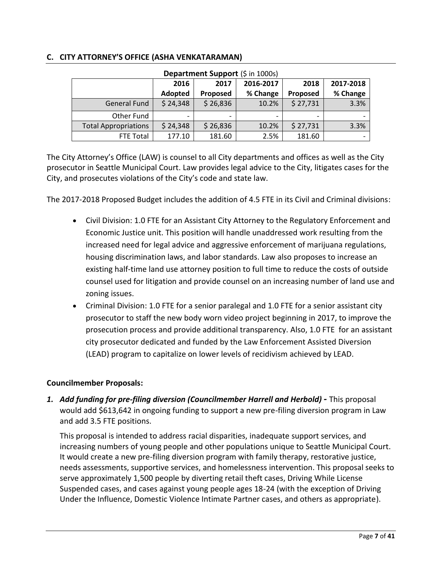| Department Support (\$ in 1000s) |          |          |           |                 |           |  |  |  |
|----------------------------------|----------|----------|-----------|-----------------|-----------|--|--|--|
|                                  | 2016     | 2017     | 2016-2017 | 2018            | 2017-2018 |  |  |  |
|                                  | Adopted  | Proposed | % Change  | <b>Proposed</b> | % Change  |  |  |  |
| General Fund                     | \$24,348 | \$26,836 | 10.2%     | \$27,731        | 3.3%      |  |  |  |
| Other Fund                       |          |          |           |                 |           |  |  |  |
| <b>Total Appropriations</b>      | \$24,348 | \$26,836 | 10.2%     | \$27,731        | 3.3%      |  |  |  |
| FTE Total                        | 177.10   | 181.60   | 2.5%      | 181.60          |           |  |  |  |

#### <span id="page-6-0"></span>**C. CITY ATTORNEY'S OFFICE (ASHA VENKATARAMAN)**

The City Attorney's Office (LAW) is counsel to all City departments and offices as well as the City prosecutor in Seattle Municipal Court. Law provides legal advice to the City, litigates cases for the City, and prosecutes violations of the City's code and state law.

The 2017-2018 Proposed Budget includes the addition of 4.5 FTE in its Civil and Criminal divisions:

- Civil Division: 1.0 FTE for an Assistant City Attorney to the Regulatory Enforcement and Economic Justice unit. This position will handle unaddressed work resulting from the increased need for legal advice and aggressive enforcement of marijuana regulations, housing discrimination laws, and labor standards. Law also proposes to increase an existing half-time land use attorney position to full time to reduce the costs of outside counsel used for litigation and provide counsel on an increasing number of land use and zoning issues.
- Criminal Division: 1.0 FTE for a senior paralegal and 1.0 FTE for a senior assistant city prosecutor to staff the new body worn video project beginning in 2017, to improve the prosecution process and provide additional transparency. Also, 1.0 FTE for an assistant city prosecutor dedicated and funded by the Law Enforcement Assisted Diversion (LEAD) program to capitalize on lower levels of recidivism achieved by LEAD.

## **Councilmember Proposals:**

*1. Add funding for pre-filing diversion (Councilmember Harrell and Herbold) -* This proposal would add \$613,642 in ongoing funding to support a new pre-filing diversion program in Law and add 3.5 FTE positions.

This proposal is intended to address racial disparities, inadequate support services, and increasing numbers of young people and other populations unique to Seattle Municipal Court. It would create a new pre-filing diversion program with family therapy, restorative justice, needs assessments, supportive services, and homelessness intervention. This proposal seeks to serve approximately 1,500 people by diverting retail theft cases, Driving While License Suspended cases, and cases against young people ages 18-24 (with the exception of Driving Under the Influence, Domestic Violence Intimate Partner cases, and others as appropriate).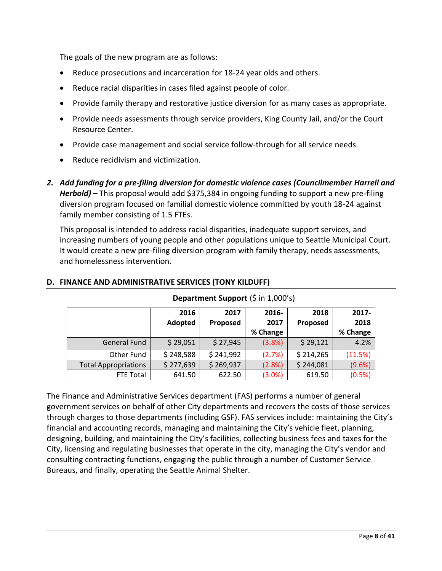The goals of the new program are as follows:

- Reduce prosecutions and incarceration for 18-24 year olds and others.
- Reduce racial disparities in cases filed against people of color.
- Provide family therapy and restorative justice diversion for as many cases as appropriate.
- Provide needs assessments through service providers, King County Jail, and/or the Court Resource Center.
- Provide case management and social service follow-through for all service needs.
- Reduce recidivism and victimization.
- *2. Add funding for a pre-filing diversion for domestic violence cases (Councilmember Harrell and Herbold) –* This proposal would add \$375,384 in ongoing funding to support a new pre-filing diversion program focused on familial domestic violence committed by youth 18-24 against family member consisting of 1.5 FTEs.

This proposal is intended to address racial disparities, inadequate support services, and increasing numbers of young people and other populations unique to Seattle Municipal Court. It would create a new pre-filing diversion program with family therapy, needs assessments, and homelessness intervention.

|                             | 2016      | 2017      | 2016-    | 2018      | 2017-    |
|-----------------------------|-----------|-----------|----------|-----------|----------|
|                             | Adopted   | Proposed  | 2017     | Proposed  | 2018     |
|                             |           |           | % Change |           | % Change |
| <b>General Fund</b>         | \$29,051  | \$27,945  | (3.8%)   | \$29,121  | 4.2%     |
| Other Fund                  | \$248,588 | \$241,992 | (2.7%)   | \$214,265 | (11.5%)  |
| <b>Total Appropriations</b> | \$277,639 | \$269,937 | (2.8%)   | \$244,081 | (9.6%)   |
| FTE Total                   | 641.50    | 622.50    | (3.0%)   | 619.50    | (0.5%)   |

#### <span id="page-7-0"></span>**D. FINANCE AND ADMINISTRATIVE SERVICES (TONY KILDUFF)**

#### **Department Support** (\$ in 1,000's)

The Finance and Administrative Services department (FAS) performs a number of general government services on behalf of other City departments and recovers the costs of those services through charges to those departments (including GSF). FAS services include: maintaining the City's financial and accounting records, managing and maintaining the City's vehicle fleet, planning, designing, building, and maintaining the City's facilities, collecting business fees and taxes for the City, licensing and regulating businesses that operate in the city, managing the City's vendor and consulting contracting functions, engaging the public through a number of Customer Service Bureaus, and finally, operating the Seattle Animal Shelter.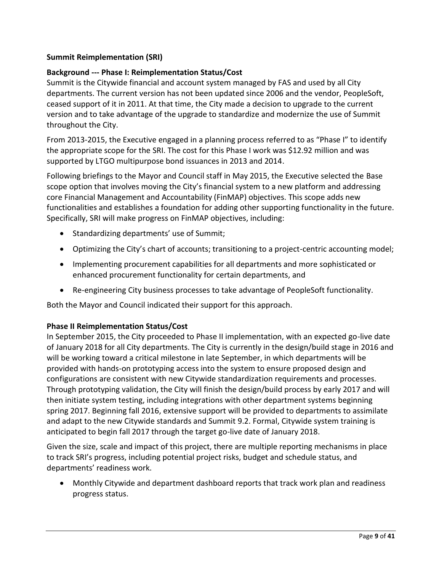## **Summit Reimplementation (SRI)**

#### **Background --- Phase I: Reimplementation Status/Cost**

Summit is the Citywide financial and account system managed by FAS and used by all City departments. The current version has not been updated since 2006 and the vendor, PeopleSoft, ceased support of it in 2011. At that time, the City made a decision to upgrade to the current version and to take advantage of the upgrade to standardize and modernize the use of Summit throughout the City.

From 2013-2015, the Executive engaged in a planning process referred to as "Phase I" to identify the appropriate scope for the SRI. The cost for this Phase I work was \$12.92 million and was supported by LTGO multipurpose bond issuances in 2013 and 2014.

Following briefings to the Mayor and Council staff in May 2015, the Executive selected the Base scope option that involves moving the City's financial system to a new platform and addressing core Financial Management and Accountability (FinMAP) objectives. This scope adds new functionalities and establishes a foundation for adding other supporting functionality in the future. Specifically, SRI will make progress on FinMAP objectives, including:

- Standardizing departments' use of Summit;
- Optimizing the City's chart of accounts; transitioning to a project-centric accounting model;
- Implementing procurement capabilities for all departments and more sophisticated or enhanced procurement functionality for certain departments, and
- Re-engineering City business processes to take advantage of PeopleSoft functionality.

Both the Mayor and Council indicated their support for this approach.

#### **Phase II Reimplementation Status/Cost**

In September 2015, the City proceeded to Phase II implementation, with an expected go-live date of January 2018 for all City departments. The City is currently in the design/build stage in 2016 and will be working toward a critical milestone in late September, in which departments will be provided with hands-on prototyping access into the system to ensure proposed design and configurations are consistent with new Citywide standardization requirements and processes. Through prototyping validation, the City will finish the design/build process by early 2017 and will then initiate system testing, including integrations with other department systems beginning spring 2017. Beginning fall 2016, extensive support will be provided to departments to assimilate and adapt to the new Citywide standards and Summit 9.2. Formal, Citywide system training is anticipated to begin fall 2017 through the target go-live date of January 2018.

Given the size, scale and impact of this project, there are multiple reporting mechanisms in place to track SRI's progress, including potential project risks, budget and schedule status, and departments' readiness work.

• Monthly Citywide and department dashboard reports that track work plan and readiness progress status.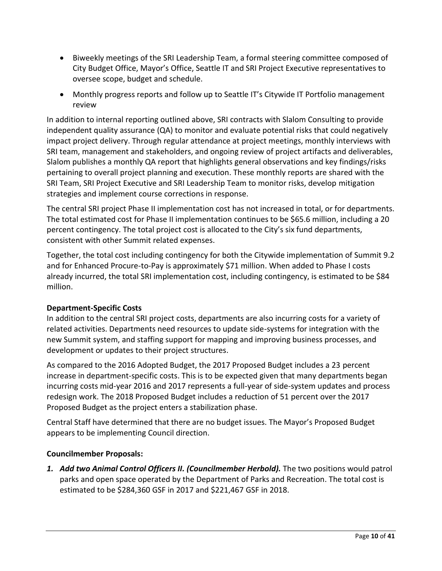- Biweekly meetings of the SRI Leadership Team, a formal steering committee composed of City Budget Office, Mayor's Office, Seattle IT and SRI Project Executive representatives to oversee scope, budget and schedule.
- Monthly progress reports and follow up to Seattle IT's Citywide IT Portfolio management review

In addition to internal reporting outlined above, SRI contracts with Slalom Consulting to provide independent quality assurance (QA) to monitor and evaluate potential risks that could negatively impact project delivery. Through regular attendance at project meetings, monthly interviews with SRI team, management and stakeholders, and ongoing review of project artifacts and deliverables, Slalom publishes a monthly QA report that highlights general observations and key findings/risks pertaining to overall project planning and execution. These monthly reports are shared with the SRI Team, SRI Project Executive and SRI Leadership Team to monitor risks, develop mitigation strategies and implement course corrections in response.

The central SRI project Phase II implementation cost has not increased in total, or for departments. The total estimated cost for Phase II implementation continues to be \$65.6 million, including a 20 percent contingency. The total project cost is allocated to the City's six fund departments, consistent with other Summit related expenses.

Together, the total cost including contingency for both the Citywide implementation of Summit 9.2 and for Enhanced Procure-to-Pay is approximately \$71 million. When added to Phase I costs already incurred, the total SRI implementation cost, including contingency, is estimated to be \$84 million.

## **Department-Specific Costs**

In addition to the central SRI project costs, departments are also incurring costs for a variety of related activities. Departments need resources to update side-systems for integration with the new Summit system, and staffing support for mapping and improving business processes, and development or updates to their project structures.

As compared to the 2016 Adopted Budget, the 2017 Proposed Budget includes a 23 percent increase in department-specific costs. This is to be expected given that many departments began incurring costs mid-year 2016 and 2017 represents a full-year of side-system updates and process redesign work. The 2018 Proposed Budget includes a reduction of 51 percent over the 2017 Proposed Budget as the project enters a stabilization phase.

Central Staff have determined that there are no budget issues. The Mayor's Proposed Budget appears to be implementing Council direction.

## **Councilmember Proposals:**

*1. Add two Animal Control Officers II. (Councilmember Herbold).* The two positions would patrol parks and open space operated by the Department of Parks and Recreation. The total cost is estimated to be \$284,360 GSF in 2017 and \$221,467 GSF in 2018.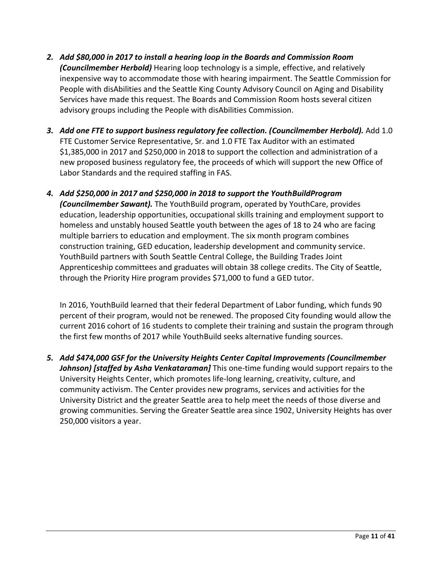- *2. Add \$80,000 in 2017 to install a hearing loop in the Boards and Commission Room (Councilmember Herbold)* Hearing loop technology is a simple, effective, and relatively inexpensive way to accommodate those with hearing impairment. The Seattle Commission for People with disAbilities and the Seattle King County Advisory Council on Aging and Disability Services have made this request. The Boards and Commission Room hosts several citizen advisory groups including the People with disAbilities Commission.
- *3. Add one FTE to support business regulatory fee collection. (Councilmember Herbold).* Add 1.0 FTE Customer Service Representative, Sr. and 1.0 FTE Tax Auditor with an estimated \$1,385,000 in 2017 and \$250,000 in 2018 to support the collection and administration of a new proposed business regulatory fee, the proceeds of which will support the new Office of Labor Standards and the required staffing in FAS.
- *4. Add \$250,000 in 2017 and \$250,000 in 2018 to support the YouthBuildProgram (Councilmember Sawant).* The YouthBuild program, operated by YouthCare, provides education, leadership opportunities, occupational skills training and employment support to homeless and unstably housed Seattle youth between the ages of 18 to 24 who are facing multiple barriers to education and employment. The six month program combines construction training, GED education, leadership development and community service. YouthBuild partners with South Seattle Central College, the Building Trades Joint Apprenticeship committees and graduates will obtain 38 college credits. The City of Seattle, through the Priority Hire program provides \$71,000 to fund a GED tutor.

In 2016, YouthBuild learned that their federal Department of Labor funding, which funds 90 percent of their program, would not be renewed. The proposed City founding would allow the current 2016 cohort of 16 students to complete their training and sustain the program through the first few months of 2017 while YouthBuild seeks alternative funding sources.

*5. Add \$474,000 GSF for the University Heights Center Capital Improvements (Councilmember* Johnson) [staffed by Asha Venkataraman] This one-time funding would support repairs to the University Heights Center, which promotes life-long learning, creativity, culture, and community activism. The Center provides new programs, services and activities for the University District and the greater Seattle area to help meet the needs of those diverse and growing communities. Serving the Greater Seattle area since 1902, University Heights has over 250,000 visitors a year.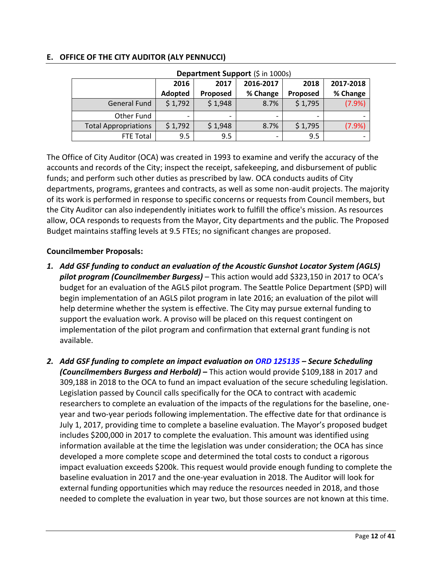| Department Support (\$ in 1000s) |                |                                        |          |          |          |  |  |  |
|----------------------------------|----------------|----------------------------------------|----------|----------|----------|--|--|--|
|                                  | 2016           | 2017-2018<br>2016-2017<br>2018<br>2017 |          |          |          |  |  |  |
|                                  | <b>Adopted</b> | Proposed                               | % Change | Proposed | % Change |  |  |  |
| <b>General Fund</b>              | \$1,792        | \$1,948                                | 8.7%     | \$1,795  | (7.9%)   |  |  |  |
| Other Fund                       |                |                                        |          |          |          |  |  |  |
| <b>Total Appropriations</b>      | \$1,792        | \$1,948                                | 8.7%     | \$1,795  | (7.9%    |  |  |  |
| <b>FTE Total</b>                 | 9.5            | 9.5                                    | -        | 9.5      |          |  |  |  |

#### <span id="page-11-0"></span>**E. OFFICE OF THE CITY AUDITOR (ALY PENNUCCI)**

The Office of City Auditor (OCA) was created in 1993 to examine and verify the accuracy of the accounts and records of the City; inspect the receipt, safekeeping, and disbursement of public funds; and perform such other duties as prescribed by law. OCA conducts audits of City departments, programs, grantees and contracts, as well as some non-audit projects. The majority of its work is performed in response to specific concerns or requests from Council members, but the City Auditor can also independently initiates work to fulfill the office's mission. As resources allow, OCA responds to requests from the Mayor, City departments and the public. The Proposed Budget maintains staffing levels at 9.5 FTEs; no significant changes are proposed.

## **Councilmember Proposals:**

- *1. Add GSF funding to conduct an evaluation of the Acoustic Gunshot Locator System (AGLS) pilot program (Councilmember Burgess)* – This action would add \$323,150 in 2017 to OCA's budget for an evaluation of the AGLS pilot program. The Seattle Police Department (SPD) will begin implementation of an AGLS pilot program in late 2016; an evaluation of the pilot will help determine whether the system is effective. The City may pursue external funding to support the evaluation work. A proviso will be placed on this request contingent on implementation of the pilot program and confirmation that external grant funding is not available.
- *2. Add GSF funding to complete an impact evaluation on [ORD 125135](http://seattle.legistar.com/LegislationDetail.aspx?ID=2813153&GUID=F61A4199-EBA1-4521-87D7-647C7ADBB099&Options=Advanced&Search=) – Secure Scheduling (Councilmembers Burgess and Herbold)* **–** This action would provide \$109,188 in 2017 and 309,188 in 2018 to the OCA to fund an impact evaluation of the secure scheduling legislation. Legislation passed by Council calls specifically for the OCA to contract with academic researchers to complete an evaluation of the impacts of the regulations for the baseline, oneyear and two-year periods following implementation. The effective date for that ordinance is July 1, 2017, providing time to complete a baseline evaluation. The Mayor's proposed budget includes \$200,000 in 2017 to complete the evaluation. This amount was identified using information available at the time the legislation was under consideration; the OCA has since developed a more complete scope and determined the total costs to conduct a rigorous impact evaluation exceeds \$200k. This request would provide enough funding to complete the baseline evaluation in 2017 and the one-year evaluation in 2018. The Auditor will look for external funding opportunities which may reduce the resources needed in 2018, and those needed to complete the evaluation in year two, but those sources are not known at this time.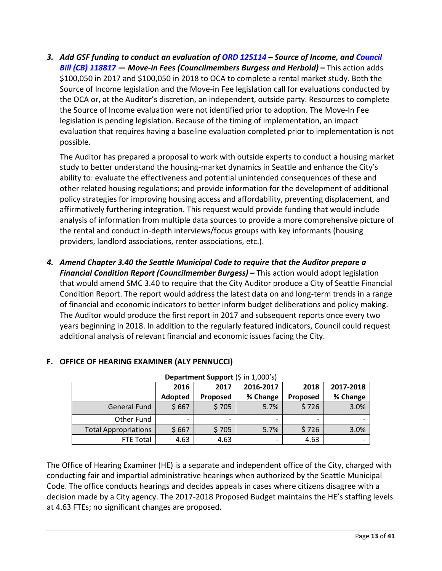*3. Add GSF funding to conduct an evaluation of [ORD 125114](http://seattle.legistar.com/LegislationDetail.aspx?ID=2802901&GUID=1B597DBF-2FC5-4766-BAC5-F5E8F511F3D6&Options=Advanced&Search=) – Source of Income, and [Council](http://seattle.legistar.com/LegislationDetail.aspx?ID=2844101&GUID=82C13565-CE5C-4B57-9A82-94A1F260C3F7&Options=Advanced&Search=)  [Bill \(CB\) 118817](http://seattle.legistar.com/LegislationDetail.aspx?ID=2844101&GUID=82C13565-CE5C-4B57-9A82-94A1F260C3F7&Options=Advanced&Search=) — Move-in Fees (Councilmembers Burgess and Herbold)* **–** This action adds \$100,050 in 2017 and \$100,050 in 2018 to OCA to complete a rental market study. Both the Source of Income legislation and the Move-in Fee legislation call for evaluations conducted by the OCA or, at the Auditor's discretion, an independent, outside party. Resources to complete the Source of Income evaluation were not identified prior to adoption. The Move-In Fee legislation is pending legislation. Because of the timing of implementation, an impact evaluation that requires having a baseline evaluation completed prior to implementation is not possible.

The Auditor has prepared a proposal to work with outside experts to conduct a housing market study to better understand the housing-market dynamics in Seattle and enhance the City's ability to: evaluate the effectiveness and potential unintended consequences of these and other related housing regulations; and provide information for the development of additional policy strategies for improving housing access and affordability, preventing displacement, and affirmatively furthering integration. This request would provide funding that would include analysis of information from multiple data sources to provide a more comprehensive picture of the rental and conduct in-depth interviews/focus groups with key informants (housing providers, landlord associations, renter associations, etc.).

*4. Amend Chapter 3.40 the Seattle Municipal Code to require that the Auditor prepare a Financial Condition Report (Councilmember Burgess) –* This action would adopt legislation that would amend SMC 3.40 to require that the City Auditor produce a City of Seattle Financial Condition Report. The report would address the latest data on and long-term trends in a range of financial and economic indicators to better inform budget deliberations and policy making. The Auditor would produce the first report in 2017 and subsequent reports once every two years beginning in 2018. In addition to the regularly featured indicators, Council could request additional analysis of relevant financial and economic issues facing the City.

| Department Support (\$ in 1,000's) |                                   |                 |          |          |          |  |  |  |
|------------------------------------|-----------------------------------|-----------------|----------|----------|----------|--|--|--|
|                                    | 2016-2017<br>2016<br>2017<br>2018 |                 |          |          |          |  |  |  |
|                                    | Adopted                           | <b>Proposed</b> | % Change | Proposed | % Change |  |  |  |
| <b>General Fund</b>                | \$667                             | \$705           | 5.7%     | \$726    | 3.0%     |  |  |  |
| Other Fund                         |                                   |                 |          |          |          |  |  |  |
| <b>Total Appropriations</b>        | \$667                             | \$705           | 5.7%     | \$726    | 3.0%     |  |  |  |
| <b>FTE Total</b>                   | 4.63                              | 4.63            |          | 4.63     |          |  |  |  |

## <span id="page-12-0"></span>**F. OFFICE OF HEARING EXAMINER (ALY PENNUCCI)**

The Office of Hearing Examiner (HE) is a separate and independent office of the City, charged with conducting fair and impartial administrative hearings when authorized by the Seattle Municipal Code. The office conducts hearings and decides appeals in cases where citizens disagree with a decision made by a City agency. The 2017-2018 Proposed Budget maintains the HE's staffing levels at 4.63 FTEs; no significant changes are proposed.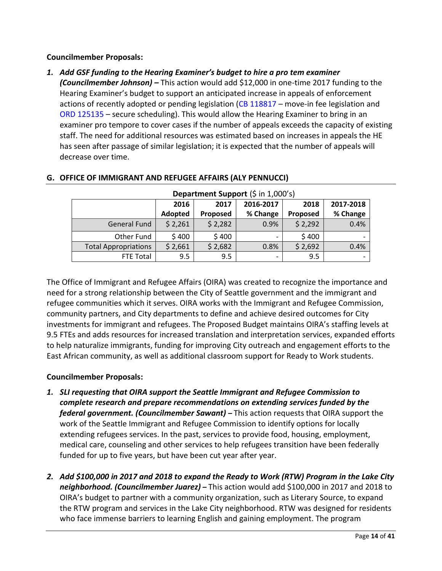#### **Councilmember Proposals:**

*1. Add GSF funding to the Hearing Examiner's budget to hire a pro tem examiner (Councilmember Johnson) –* This action would add \$12,000 in one-time 2017 funding to the Hearing Examiner's budget to support an anticipated increase in appeals of enforcement actions of recently adopted or pending legislation [\(CB 118817](http://seattle.legistar.com/LegislationDetail.aspx?ID=2844101&GUID=82C13565-CE5C-4B57-9A82-94A1F260C3F7&Options=Advanced&Search=) – move-in fee legislation and [ORD 125135](http://seattle.legistar.com/LegislationDetail.aspx?ID=2813153&GUID=F61A4199-EBA1-4521-87D7-647C7ADBB099&Options=Advanced&Search=) – secure scheduling). This would allow the Hearing Examiner to bring in an examiner pro tempore to cover cases if the number of appeals exceeds the capacity of existing staff. The need for additional resources was estimated based on increases in appeals the HE has seen after passage of similar legislation; it is expected that the number of appeals will decrease over time.

| Department Support (\$ in 1,000's) |         |                           |                          |          |          |  |  |  |
|------------------------------------|---------|---------------------------|--------------------------|----------|----------|--|--|--|
|                                    | 2016    | 2016-2017<br>2017<br>2018 |                          |          |          |  |  |  |
|                                    | Adopted | Proposed                  | % Change                 | Proposed | % Change |  |  |  |
| <b>General Fund</b>                | \$2,261 | \$2,282                   | 0.9%                     | \$2,292  | 0.4%     |  |  |  |
| Other Fund                         | \$400   | \$400                     |                          | \$400    |          |  |  |  |
| <b>Total Appropriations</b>        | \$2,661 | \$2,682                   | 0.8%                     | \$2,692  | 0.4%     |  |  |  |
| FTE Total                          | 9.5     | 9.5                       | $\overline{\phantom{0}}$ | 9.5      |          |  |  |  |

#### <span id="page-13-0"></span>**G. OFFICE OF IMMIGRANT AND REFUGEE AFFAIRS (ALY PENNUCCI)**

The Office of Immigrant and Refugee Affairs (OIRA) was created to recognize the importance and need for a strong relationship between the City of Seattle government and the immigrant and refugee communities which it serves. OIRA works with the Immigrant and Refugee Commission, community partners, and City departments to define and achieve desired outcomes for City investments for immigrant and refugees. The Proposed Budget maintains OIRA's staffing levels at 9.5 FTEs and adds resources for increased translation and interpretation services, expanded efforts to help naturalize immigrants, funding for improving City outreach and engagement efforts to the East African community, as well as additional classroom support for Ready to Work students.

**Councilmember Proposals:**

- *1. SLI requesting that OIRA support the Seattle Immigrant and Refugee Commission to complete research and prepare recommendations on extending services funded by the federal government. (Councilmember Sawant) –* This action requests that OIRA support the work of the Seattle Immigrant and Refugee Commission to identify options for locally extending refugees services. In the past, services to provide food, housing, employment, medical care, counseling and other services to help refugees transition have been federally funded for up to five years, but have been cut year after year.
- *2. Add \$100,000 in 2017 and 2018 to expand the Ready to Work (RTW) Program in the Lake City neighborhood. (Councilmember Juarez) –* This action would add \$100,000 in 2017 and 2018 to OIRA's budget to partner with a community organization, such as Literary Source, to expand the RTW program and services in the Lake City neighborhood. RTW was designed for residents who face immense barriers to learning English and gaining employment. The program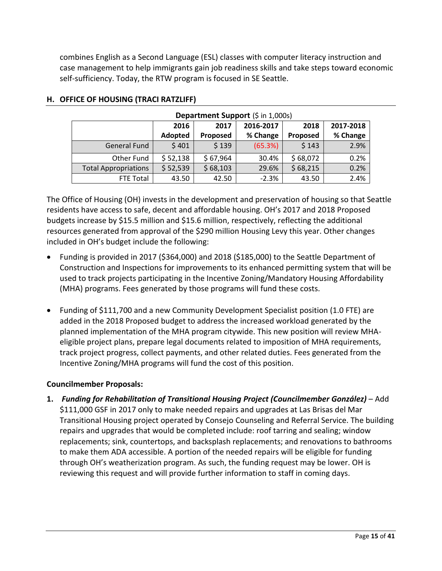combines English as a Second Language (ESL) classes with computer literacy instruction and case management to help immigrants gain job readiness skills and take steps toward economic self-sufficiency. Today, the RTW program is focused in SE Seattle.

| Department Support (\$ in 1,000s) |          |          |           |          |           |  |  |  |
|-----------------------------------|----------|----------|-----------|----------|-----------|--|--|--|
|                                   | 2016     | 2017     | 2016-2017 | 2018     | 2017-2018 |  |  |  |
|                                   | Adopted  | Proposed | % Change  | Proposed | % Change  |  |  |  |
| <b>General Fund</b>               | \$401    | \$139    | (65.3%)   | \$143    | 2.9%      |  |  |  |
| Other Fund                        | \$52,138 | \$67,964 | 30.4%     | \$68,072 | 0.2%      |  |  |  |
| <b>Total Appropriations</b>       | \$52,539 | \$68,103 | 29.6%     | \$68,215 | 0.2%      |  |  |  |
| FTE Total                         | 43.50    | 42.50    | $-2.3%$   | 43.50    | 2.4%      |  |  |  |

## <span id="page-14-0"></span>**H. OFFICE OF HOUSING (TRACI RATZLIFF)**

The Office of Housing (OH) invests in the development and preservation of housing so that Seattle residents have access to safe, decent and affordable housing. OH's 2017 and 2018 Proposed budgets increase by \$15.5 million and \$15.6 million, respectively, reflecting the additional resources generated from approval of the \$290 million Housing Levy this year. Other changes included in OH's budget include the following:

- Funding is provided in 2017 (\$364,000) and 2018 (\$185,000) to the Seattle Department of Construction and Inspections for improvements to its enhanced permitting system that will be used to track projects participating in the Incentive Zoning/Mandatory Housing Affordability (MHA) programs. Fees generated by those programs will fund these costs.
- Funding of \$111,700 and a new Community Development Specialist position (1.0 FTE) are added in the 2018 Proposed budget to address the increased workload generated by the planned implementation of the MHA program citywide. This new position will review MHAeligible project plans, prepare legal documents related to imposition of MHA requirements, track project progress, collect payments, and other related duties. Fees generated from the Incentive Zoning/MHA programs will fund the cost of this position.

## **Councilmember Proposals:**

**1.** *Funding for Rehabilitation of Transitional Housing Project (Councilmember González)* – Add \$111,000 GSF in 2017 only to make needed repairs and upgrades at Las Brisas del Mar Transitional Housing project operated by Consejo Counseling and Referral Service. The building repairs and upgrades that would be completed include: roof tarring and sealing; window replacements; sink, countertops, and backsplash replacements; and renovations to bathrooms to make them ADA accessible. A portion of the needed repairs will be eligible for funding through OH's weatherization program. As such, the funding request may be lower. OH is reviewing this request and will provide further information to staff in coming days.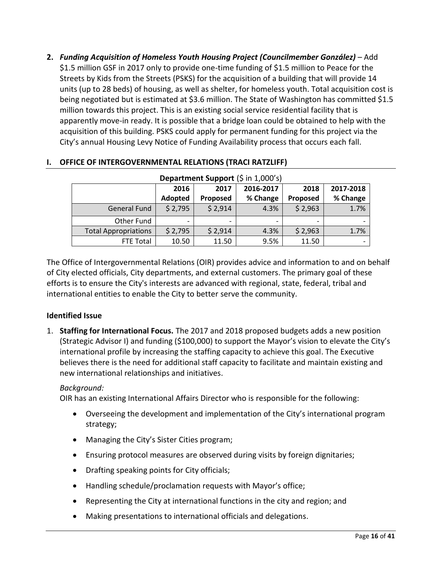**2.** *Funding Acquisition of Homeless Youth Housing Project (Councilmember González)* – Add \$1.5 million GSF in 2017 only to provide one-time funding of \$1.5 million to Peace for the Streets by Kids from the Streets (PSKS) for the acquisition of a building that will provide 14 units (up to 28 beds) of housing, as well as shelter, for homeless youth. Total acquisition cost is being negotiated but is estimated at \$3.6 million. The State of Washington has committed \$1.5 million towards this project. This is an existing social service residential facility that is apparently move-in ready. It is possible that a bridge loan could be obtained to help with the acquisition of this building. PSKS could apply for permanent funding for this project via the City's annual Housing Levy Notice of Funding Availability process that occurs each fall.

| Department Support (\$ in 1,000's) |         |          |           |          |                              |  |  |  |
|------------------------------------|---------|----------|-----------|----------|------------------------------|--|--|--|
|                                    | 2016    | 2017     | 2016-2017 | 2018     | 2017-2018                    |  |  |  |
|                                    | Adopted | Proposed | % Change  | Proposed | % Change                     |  |  |  |
| <b>General Fund</b>                | \$2,795 | \$2,914  | 4.3%      | \$2,963  | 1.7%                         |  |  |  |
| Other Fund                         |         |          |           |          | $\qquad \qquad \blacksquare$ |  |  |  |
| <b>Total Appropriations</b>        | \$2,795 | \$2,914  | 4.3%      | \$2,963  | 1.7%                         |  |  |  |
| FTE Total                          | 10.50   | 11.50    | 9.5%      | 11.50    | $\qquad \qquad \blacksquare$ |  |  |  |

## <span id="page-15-0"></span>**I. OFFICE OF INTERGOVERNMENTAL RELATIONS (TRACI RATZLIFF)**

The Office of Intergovernmental Relations (OIR) provides advice and information to and on behalf of City elected officials, City departments, and external customers. The primary goal of these efforts is to ensure the City's interests are advanced with regional, state, federal, tribal and international entities to enable the City to better serve the community.

## **Identified Issue**

1. **Staffing for International Focus.** The 2017 and 2018 proposed budgets adds a new position (Strategic Advisor I) and funding (\$100,000) to support the Mayor's vision to elevate the City's international profile by increasing the staffing capacity to achieve this goal. The Executive believes there is the need for additional staff capacity to facilitate and maintain existing and new international relationships and initiatives.

## *Background:*

OIR has an existing International Affairs Director who is responsible for the following:

- Overseeing the development and implementation of the City's international program strategy;
- Managing the City's Sister Cities program;
- Ensuring protocol measures are observed during visits by foreign dignitaries;
- Drafting speaking points for City officials;
- Handling schedule/proclamation requests with Mayor's office;
- Representing the City at international functions in the city and region; and
- Making presentations to international officials and delegations.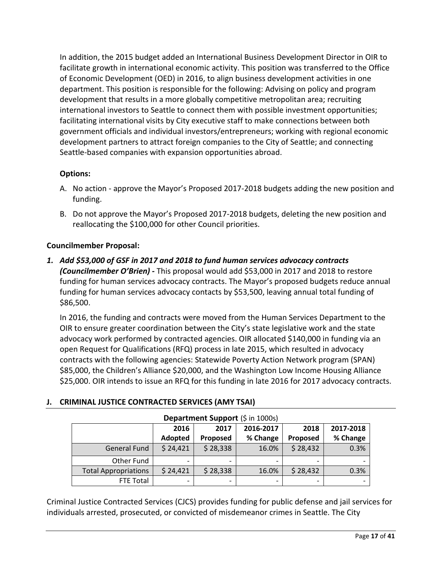In addition, the 2015 budget added an International Business Development Director in OIR to facilitate growth in international economic activity. This position was transferred to the Office of Economic Development (OED) in 2016, to align business development activities in one department. This position is responsible for the following: Advising on policy and program development that results in a more globally competitive metropolitan area; recruiting international investors to Seattle to connect them with possible investment opportunities; facilitating international visits by City executive staff to make connections between both government officials and individual investors/entrepreneurs; working with regional economic development partners to attract foreign companies to the City of Seattle; and connecting Seattle-based companies with expansion opportunities abroad.

## **Options:**

- A. No action approve the Mayor's Proposed 2017-2018 budgets adding the new position and funding.
- B. Do not approve the Mayor's Proposed 2017-2018 budgets, deleting the new position and reallocating the \$100,000 for other Council priorities.

## **Councilmember Proposal:**

*1. Add \$53,000 of GSF in 2017 and 2018 to fund human services advocacy contracts (Councilmember O'Brien) -* This proposal would add \$53,000 in 2017 and 2018 to restore funding for human services advocacy contracts. The Mayor's proposed budgets reduce annual funding for human services advocacy contacts by \$53,500, leaving annual total funding of \$86,500.

In 2016, the funding and contracts were moved from the Human Services Department to the OIR to ensure greater coordination between the City's state legislative work and the state advocacy work performed by contracted agencies. OIR allocated \$140,000 in funding via an open Request for Qualifications (RFQ) process in late 2015, which resulted in advocacy contracts with the following agencies: Statewide Poverty Action Network program (SPAN) \$85,000, the Children's Alliance \$20,000, and the Washington Low Income Housing Alliance \$25,000. OIR intends to issue an RFQ for this funding in late 2016 for 2017 advocacy contracts.

## <span id="page-16-0"></span>**J. CRIMINAL JUSTICE CONTRACTED SERVICES (AMY TSAI)**

| Department Support (\$ in 1000s) |          |          |           |                 |                          |
|----------------------------------|----------|----------|-----------|-----------------|--------------------------|
|                                  | 2016     | 2017     | 2016-2017 | 2018            | 2017-2018                |
|                                  | Adopted  | Proposed | % Change  | <b>Proposed</b> | % Change                 |
| <b>General Fund</b>              | \$24,421 | \$28,338 | 16.0%     | \$28,432        | 0.3%                     |
| Other Fund                       |          |          |           |                 | ۰                        |
| <b>Total Appropriations</b>      | \$24,421 | \$28,338 | 16.0%     | \$28,432        | 0.3%                     |
| FTE Total                        | -        |          |           |                 | $\overline{\phantom{0}}$ |

# Criminal Justice Contracted Services (CJCS) provides funding for public defense and jail services for individuals arrested, prosecuted, or convicted of misdemeanor crimes in Seattle. The City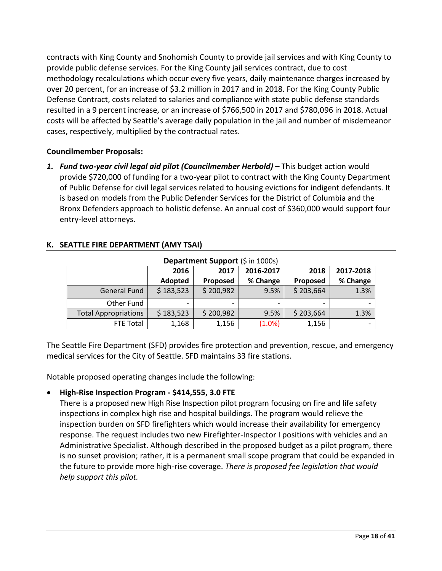contracts with King County and Snohomish County to provide jail services and with King County to provide public defense services. For the King County jail services contract, due to cost methodology recalculations which occur every five years, daily maintenance charges increased by over 20 percent, for an increase of \$3.2 million in 2017 and in 2018. For the King County Public Defense Contract, costs related to salaries and compliance with state public defense standards resulted in a 9 percent increase, or an increase of \$766,500 in 2017 and \$780,096 in 2018. Actual costs will be affected by Seattle's average daily population in the jail and number of misdemeanor cases, respectively, multiplied by the contractual rates.

## **Councilmember Proposals:**

*1. Fund two-year civil legal aid pilot (Councilmember Herbold) –* This budget action would provide \$720,000 of funding for a two-year pilot to contract with the King County Department of Public Defense for civil legal services related to housing evictions for indigent defendants. It is based on models from the Public Defender Services for the District of Columbia and the Bronx Defenders approach to holistic defense. An annual cost of \$360,000 would support four entry-level attorneys.

| Department Support (\$ in 1000s) |                          |           |                          |           |                          |
|----------------------------------|--------------------------|-----------|--------------------------|-----------|--------------------------|
|                                  | 2016                     | 2017      | 2016-2017                | 2018      | 2017-2018                |
|                                  | Adopted                  | Proposed  | % Change                 | Proposed  | % Change                 |
| <b>General Fund</b>              | \$183,523                | \$200,982 | 9.5%                     | \$203,664 | 1.3%                     |
| Other Fund                       | $\overline{\phantom{a}}$ |           | $\overline{\phantom{a}}$ |           | $\overline{\phantom{0}}$ |
| <b>Total Appropriations</b>      | \$183,523                | \$200,982 | 9.5%                     | \$203,664 | 1.3%                     |
| <b>FTE Total</b>                 | 1,168                    | 1,156     | (1.0%)                   | 1,156     |                          |

## <span id="page-17-0"></span>**K. SEATTLE FIRE DEPARTMENT (AMY TSAI)**

The Seattle Fire Department (SFD) provides fire protection and prevention, rescue, and emergency medical services for the City of Seattle. SFD maintains 33 fire stations.

Notable proposed operating changes include the following:

## x **High-Rise Inspection Program - \$414,555, 3.0 FTE**

There is a proposed new High Rise Inspection pilot program focusing on fire and life safety inspections in complex high rise and hospital buildings. The program would relieve the inspection burden on SFD firefighters which would increase their availability for emergency response. The request includes two new Firefighter-Inspector I positions with vehicles and an Administrative Specialist. Although described in the proposed budget as a pilot program, there is no sunset provision; rather, it is a permanent small scope program that could be expanded in the future to provide more high-rise coverage. *There is proposed fee legislation that would help support this pilot.*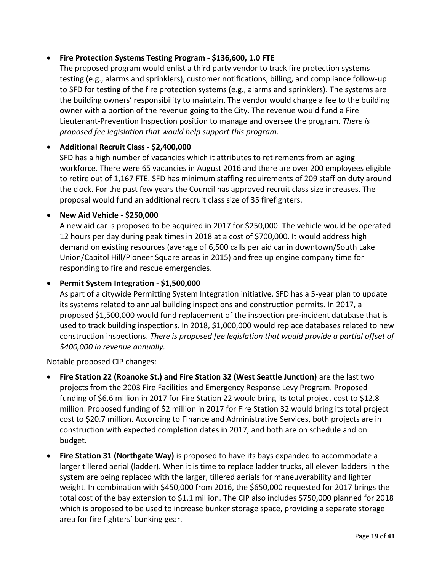## x **Fire Protection Systems Testing Program - \$136,600, 1.0 FTE**

The proposed program would enlist a third party vendor to track fire protection systems testing (e.g., alarms and sprinklers), customer notifications, billing, and compliance follow-up to SFD for testing of the fire protection systems (e.g., alarms and sprinklers). The systems are the building owners' responsibility to maintain. The vendor would charge a fee to the building owner with a portion of the revenue going to the City. The revenue would fund a Fire Lieutenant-Prevention Inspection position to manage and oversee the program. *There is proposed fee legislation that would help support this program.*

## x **Additional Recruit Class - \$2,400,000**

SFD has a high number of vacancies which it attributes to retirements from an aging workforce. There were 65 vacancies in August 2016 and there are over 200 employees eligible to retire out of 1,167 FTE. SFD has minimum staffing requirements of 209 staff on duty around the clock. For the past few years the Council has approved recruit class size increases. The proposal would fund an additional recruit class size of 35 firefighters.

## x **New Aid Vehicle - \$250,000**

A new aid car is proposed to be acquired in 2017 for \$250,000. The vehicle would be operated 12 hours per day during peak times in 2018 at a cost of \$700,000. It would address high demand on existing resources (average of 6,500 calls per aid car in downtown/South Lake Union/Capitol Hill/Pioneer Square areas in 2015) and free up engine company time for responding to fire and rescue emergencies.

## x **Permit System Integration - \$1,500,000**

As part of a citywide Permitting System Integration initiative, SFD has a 5-year plan to update its systems related to annual building inspections and construction permits. In 2017, a proposed \$1,500,000 would fund replacement of the inspection pre-incident database that is used to track building inspections. In 2018, \$1,000,000 would replace databases related to new construction inspections. *There is proposed fee legislation that would provide a partial offset of \$400,000 in revenue annually.*

Notable proposed CIP changes:

- x **Fire Station 22 (Roanoke St.) and Fire Station 32 (West Seattle Junction)** are the last two projects from the 2003 Fire Facilities and Emergency Response Levy Program. Proposed funding of \$6.6 million in 2017 for Fire Station 22 would bring its total project cost to \$12.8 million. Proposed funding of \$2 million in 2017 for Fire Station 32 would bring its total project cost to \$20.7 million. According to Finance and Administrative Services, both projects are in construction with expected completion dates in 2017, and both are on schedule and on budget.
- **Fire Station 31 (Northgate Way)** is proposed to have its bays expanded to accommodate a larger tillered aerial (ladder). When it is time to replace ladder trucks, all eleven ladders in the system are being replaced with the larger, tillered aerials for maneuverability and lighter weight. In combination with \$450,000 from 2016, the \$650,000 requested for 2017 brings the total cost of the bay extension to \$1.1 million. The CIP also includes \$750,000 planned for 2018 which is proposed to be used to increase bunker storage space, providing a separate storage area for fire fighters' bunking gear.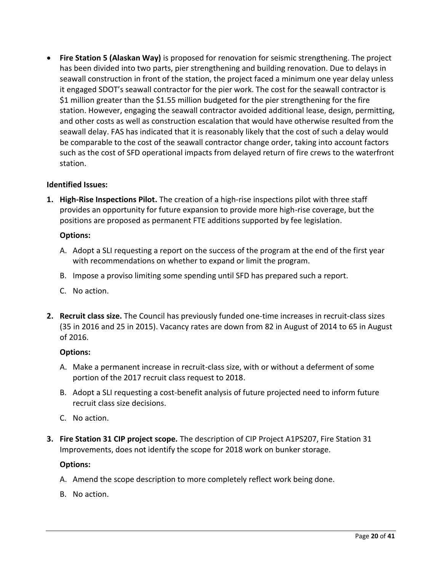**Fire Station 5 (Alaskan Way)** is proposed for renovation for seismic strengthening. The project has been divided into two parts, pier strengthening and building renovation. Due to delays in seawall construction in front of the station, the project faced a minimum one year delay unless it engaged SDOT's seawall contractor for the pier work. The cost for the seawall contractor is \$1 million greater than the \$1.55 million budgeted for the pier strengthening for the fire station. However, engaging the seawall contractor avoided additional lease, design, permitting, and other costs as well as construction escalation that would have otherwise resulted from the seawall delay. FAS has indicated that it is reasonably likely that the cost of such a delay would be comparable to the cost of the seawall contractor change order, taking into account factors such as the cost of SFD operational impacts from delayed return of fire crews to the waterfront station.

#### **Identified Issues:**

**1. High-Rise Inspections Pilot.** The creation of a high-rise inspections pilot with three staff provides an opportunity for future expansion to provide more high-rise coverage, but the positions are proposed as permanent FTE additions supported by fee legislation.

#### **Options:**

- A. Adopt a SLI requesting a report on the success of the program at the end of the first year with recommendations on whether to expand or limit the program.
- B. Impose a proviso limiting some spending until SFD has prepared such a report.
- C. No action.
- **2. Recruit class size.** The Council has previously funded one-time increases in recruit-class sizes (35 in 2016 and 25 in 2015). Vacancy rates are down from 82 in August of 2014 to 65 in August of 2016.

#### **Options:**

- A. Make a permanent increase in recruit-class size, with or without a deferment of some portion of the 2017 recruit class request to 2018.
- B. Adopt a SLI requesting a cost-benefit analysis of future projected need to inform future recruit class size decisions.
- C. No action.
- **3. Fire Station 31 CIP project scope***.* The description of CIP Project A1PS207, Fire Station 31 Improvements, does not identify the scope for 2018 work on bunker storage.

#### **Options:**

- A. Amend the scope description to more completely reflect work being done.
- B. No action.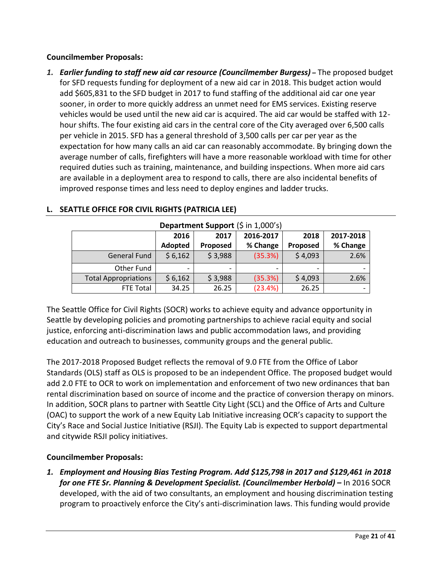## **Councilmember Proposals:**

*1. Earlier funding to staff new aid car resource (Councilmember Burgess) –* The proposed budget for SFD requests funding for deployment of a new aid car in 2018. This budget action would add \$605,831 to the SFD budget in 2017 to fund staffing of the additional aid car one year sooner, in order to more quickly address an unmet need for EMS services. Existing reserve vehicles would be used until the new aid car is acquired. The aid car would be staffed with 12 hour shifts. The four existing aid cars in the central core of the City averaged over 6,500 calls per vehicle in 2015. SFD has a general threshold of 3,500 calls per car per year as the expectation for how many calls an aid car can reasonably accommodate. By bringing down the average number of calls, firefighters will have a more reasonable workload with time for other required duties such as training, maintenance, and building inspections. When more aid cars are available in a deployment area to respond to calls, there are also incidental benefits of improved response times and less need to deploy engines and ladder trucks.

| Department Support (\$ in 1,000's) |         |          |           |          |                          |
|------------------------------------|---------|----------|-----------|----------|--------------------------|
|                                    | 2016    | 2017     | 2016-2017 | 2018     | 2017-2018                |
|                                    | Adopted | Proposed | % Change  | Proposed | % Change                 |
| <b>General Fund</b>                | \$6,162 | \$3,988  | (35.3%)   | \$4,093  | 2.6%                     |
| Other Fund                         |         |          |           |          |                          |
| <b>Total Appropriations</b>        | \$6,162 | \$3,988  | (35.3%)   | \$4,093  | 2.6%                     |
| FTE Total                          | 34.25   | 26.25    | (23.4%)   | 26.25    | $\overline{\phantom{a}}$ |

## <span id="page-20-0"></span>**L. SEATTLE OFFICE FOR CIVIL RIGHTS (PATRICIA LEE)**

The Seattle Office for Civil Rights (SOCR) works to achieve equity and advance opportunity in Seattle by developing policies and promoting partnerships to achieve racial equity and social justice, enforcing anti-discrimination laws and public accommodation laws, and providing education and outreach to businesses, community groups and the general public.

The 2017-2018 Proposed Budget reflects the removal of 9.0 FTE from the Office of Labor Standards (OLS) staff as OLS is proposed to be an independent Office. The proposed budget would add 2.0 FTE to OCR to work on implementation and enforcement of two new ordinances that ban rental discrimination based on source of income and the practice of conversion therapy on minors. In addition, SOCR plans to partner with Seattle City Light (SCL) and the Office of Arts and Culture (OAC) to support the work of a new Equity Lab Initiative increasing OCR's capacity to support the City's Race and Social Justice Initiative (RSJI). The Equity Lab is expected to support departmental and citywide RSJI policy initiatives.

## **Councilmember Proposals:**

*1. Employment and Housing Bias Testing Program. Add \$125,798 in 2017 and \$129,461 in 2018 for one FTE Sr. Planning & Development Specialist. (Councilmember Herbold) –* In 2016 SOCR developed, with the aid of two consultants, an employment and housing discrimination testing program to proactively enforce the City's anti-discrimination laws. This funding would provide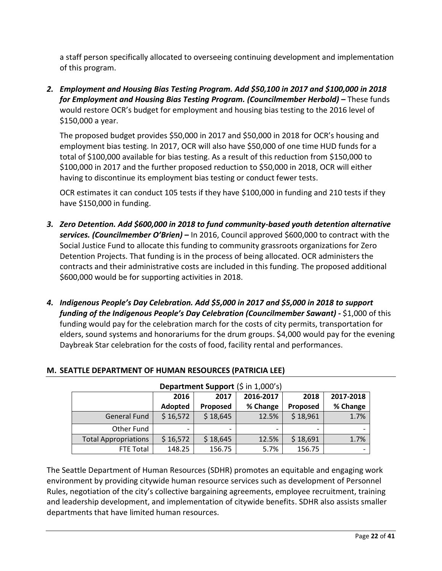a staff person specifically allocated to overseeing continuing development and implementation of this program.

*2. Employment and Housing Bias Testing Program. Add \$50,100 in 2017 and \$100,000 in 2018 for Employment and Housing Bias Testing Program. (Councilmember Herbold) –* These funds would restore OCR's budget for employment and housing bias testing to the 2016 level of \$150,000 a year.

The proposed budget provides \$50,000 in 2017 and \$50,000 in 2018 for OCR's housing and employment bias testing. In 2017, OCR will also have \$50,000 of one time HUD funds for a total of \$100,000 available for bias testing. As a result of this reduction from \$150,000 to \$100,000 in 2017 and the further proposed reduction to \$50,000 in 2018, OCR will either having to discontinue its employment bias testing or conduct fewer tests.

OCR estimates it can conduct 105 tests if they have \$100,000 in funding and 210 tests if they have \$150,000 in funding.

- *3. Zero Detention. Add \$600,000 in 2018 to fund community-based youth detention alternative services. (Councilmember O'Brien)* **–** In 2016, Council approved \$600,000 to contract with the Social Justice Fund to allocate this funding to community grassroots organizations for Zero Detention Projects. That funding is in the process of being allocated. OCR administers the contracts and their administrative costs are included in this funding. The proposed additional \$600,000 would be for supporting activities in 2018.
- *4. Indigenous People's Day Celebration. Add \$5,000 in 2017 and \$5,000 in 2018 to support funding of the Indigenous People's Day Celebration (Councilmember Sawant) -* \$1,000 of this funding would pay for the celebration march for the costs of city permits, transportation for elders, sound systems and honorariums for the drum groups. \$4,000 would pay for the evening Daybreak Star celebration for the costs of food, facility rental and performances.

| Department Support (\$ in 1,000's) |          |                 |           |          |           |
|------------------------------------|----------|-----------------|-----------|----------|-----------|
|                                    | 2016     | 2017            | 2016-2017 | 2018     | 2017-2018 |
|                                    | Adopted  | <b>Proposed</b> | % Change  | Proposed | % Change  |
| <b>General Fund</b>                | \$16,572 | \$18,645        | 12.5%     | \$18,961 | 1.7%      |
| Other Fund                         |          |                 |           |          |           |
| <b>Total Appropriations</b>        | \$16,572 | \$18,645        | 12.5%     | \$18,691 | 1.7%      |
| FTE Total                          | 148.25   | 156.75          | 5.7%      | 156.75   |           |

## <span id="page-21-0"></span>**M. SEATTLE DEPARTMENT OF HUMAN RESOURCES (PATRICIA LEE)**

The Seattle Department of Human Resources (SDHR) promotes an equitable and engaging work environment by providing citywide human resource services such as development of Personnel Rules, negotiation of the city's collective bargaining agreements, employee recruitment, training and leadership development, and implementation of citywide benefits. SDHR also assists smaller departments that have limited human resources.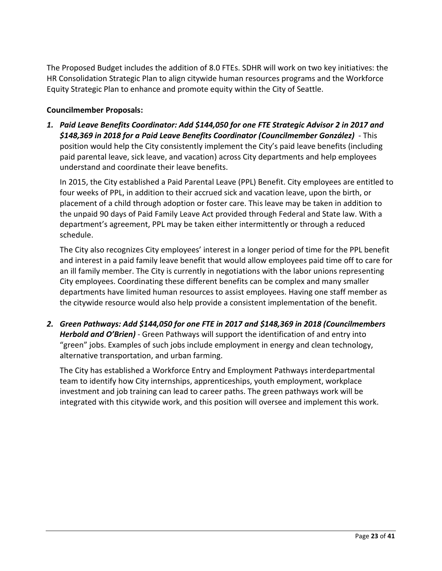The Proposed Budget includes the addition of 8.0 FTEs. SDHR will work on two key initiatives: the HR Consolidation Strategic Plan to align citywide human resources programs and the Workforce Equity Strategic Plan to enhance and promote equity within the City of Seattle.

#### **Councilmember Proposals:**

*1. Paid Leave Benefits Coordinator: Add \$144,050 for one FTE Strategic Advisor 2 in 2017 and \$148,369 in 2018 for a Paid Leave Benefits Coordinator (Councilmember González)* - This position would help the City consistently implement the City's paid leave benefits (including paid parental leave, sick leave, and vacation) across City departments and help employees understand and coordinate their leave benefits.

In 2015, the City established a Paid Parental Leave (PPL) Benefit. City employees are entitled to four weeks of PPL, in addition to their accrued sick and vacation leave, upon the birth, or placement of a child through adoption or foster care. This leave may be taken in addition to the unpaid 90 days of Paid Family Leave Act provided through Federal and State law. With a department's agreement, PPL may be taken either intermittently or through a reduced schedule.

The City also recognizes City employees' interest in a longer period of time for the PPL benefit and interest in a paid family leave benefit that would allow employees paid time off to care for an ill family member. The City is currently in negotiations with the labor unions representing City employees. Coordinating these different benefits can be complex and many smaller departments have limited human resources to assist employees. Having one staff member as the citywide resource would also help provide a consistent implementation of the benefit.

*2. Green Pathways: Add \$144,050 for one FTE in 2017 and \$148,369 in 2018 (Councilmembers Herbold and O'Brien)* - Green Pathways will support the identification of and entry into "green" jobs. Examples of such jobs include employment in energy and clean technology, alternative transportation, and urban farming.

The City has established a Workforce Entry and Employment Pathways interdepartmental team to identify how City internships, apprenticeships, youth employment, workplace investment and job training can lead to career paths. The green pathways work will be integrated with this citywide work, and this position will oversee and implement this work.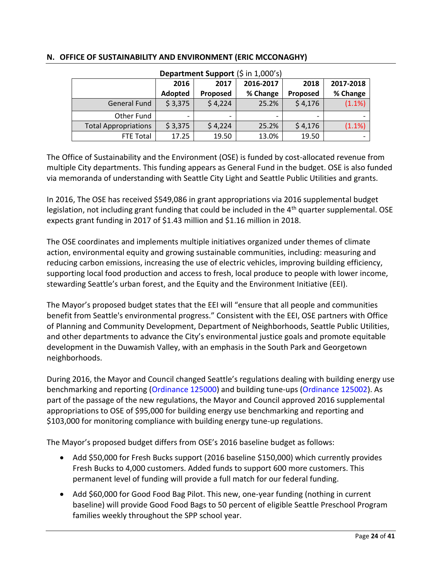| Department Support (\$ in 1,000's) |                |                 |           |                 |           |
|------------------------------------|----------------|-----------------|-----------|-----------------|-----------|
|                                    | 2016           | 2017            | 2016-2017 | 2018            | 2017-2018 |
|                                    | <b>Adopted</b> | <b>Proposed</b> | % Change  | <b>Proposed</b> | % Change  |
| <b>General Fund</b>                | \$3,375        | \$4,224         | 25.2%     | \$4,176         | (1.1%)    |
| Other Fund                         |                |                 |           |                 |           |
| <b>Total Appropriations</b>        | \$3,375        | \$4,224         | 25.2%     | \$4,176         | (1.1%)    |
| <b>FTE Total</b>                   | 17.25          | 19.50           | 13.0%     | 19.50           |           |

#### <span id="page-23-0"></span>**N. OFFICE OF SUSTAINABILITY AND ENVIRONMENT (ERIC MCCONAGHY)**

The Office of Sustainability and the Environment (OSE) is funded by cost-allocated revenue from multiple City departments. This funding appears as General Fund in the budget. OSE is also funded via memoranda of understanding with Seattle City Light and Seattle Public Utilities and grants.

In 2016, The OSE has received \$549,086 in grant appropriations via 2016 supplemental budget legislation, not including grant funding that could be included in the 4<sup>th</sup> quarter supplemental. OSE expects grant funding in 2017 of \$1.43 million and \$1.16 million in 2018.

The OSE coordinates and implements multiple initiatives organized under themes of climate action, environmental equity and growing sustainable communities, including: measuring and reducing carbon emissions, increasing the use of electric vehicles, improving building efficiency, supporting local food production and access to fresh, local produce to people with lower income, stewarding Seattle's urban forest, and the Equity and the Environment Initiative (EEI).

The Mayor's proposed budget states that the EEI will "ensure that all people and communities benefit from Seattle's environmental progress." Consistent with the EEI, OSE partners with Office of Planning and Community Development, Department of Neighborhoods, Seattle Public Utilities, and other departments to advance the City's environmental justice goals and promote equitable development in the Duwamish Valley, with an emphasis in the South Park and Georgetown neighborhoods.

During 2016, the Mayor and Council changed Seattle's regulations dealing with building energy use benchmarking and reporting [\(Ordinance 125000\)](https://seattle.legistar.com/LegislationDetail.aspx?ID=2574972&GUID=F3DC7C46-B282-47A9-8FE8-B0D0E8C9E4EB&Options=Advanced&Search=&FullText=1) and building tune-ups [\(Ordinance 125002\)](https://seattle.legistar.com/LegislationDetail.aspx?ID=2574974&GUID=268F1A3B-847C-4F13-AD16-B24EDA16DB14&Options=Advanced&Search=). As part of the passage of the new regulations, the Mayor and Council approved 2016 supplemental appropriations to OSE of \$95,000 for building energy use benchmarking and reporting and \$103,000 for monitoring compliance with building energy tune-up regulations.

The Mayor's proposed budget differs from OSE's 2016 baseline budget as follows:

- Add \$50,000 for Fresh Bucks support (2016 baseline \$150,000) which currently provides Fresh Bucks to 4,000 customers. Added funds to support 600 more customers. This permanent level of funding will provide a full match for our federal funding.
- Add \$60,000 for Good Food Bag Pilot. This new, one-year funding (nothing in current baseline) will provide Good Food Bags to 50 percent of eligible Seattle Preschool Program families weekly throughout the SPP school year.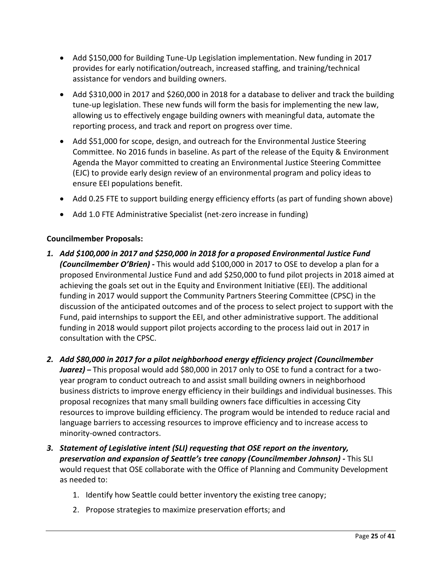- Add \$150,000 for Building Tune-Up Legislation implementation. New funding in 2017 provides for early notification/outreach, increased staffing, and training/technical assistance for vendors and building owners.
- Add \$310,000 in 2017 and \$260,000 in 2018 for a database to deliver and track the building tune-up legislation. These new funds will form the basis for implementing the new law, allowing us to effectively engage building owners with meaningful data, automate the reporting process, and track and report on progress over time.
- Add \$51,000 for scope, design, and outreach for the Environmental Justice Steering Committee. No 2016 funds in baseline. As part of the release of the Equity & Environment Agenda the Mayor committed to creating an Environmental Justice Steering Committee (EJC) to provide early design review of an environmental program and policy ideas to ensure EEI populations benefit.
- Add 0.25 FTE to support building energy efficiency efforts (as part of funding shown above)
- Add 1.0 FTE Administrative Specialist (net-zero increase in funding)

#### **Councilmember Proposals:**

- *1. Add \$100,000 in 2017 and \$250,000 in 2018 for a proposed Environmental Justice Fund (Councilmember O'Brien) -* This would add \$100,000 in 2017 to OSE to develop a plan for a proposed Environmental Justice Fund and add \$250,000 to fund pilot projects in 2018 aimed at achieving the goals set out in the Equity and Environment Initiative (EEI). The additional funding in 2017 would support the Community Partners Steering Committee (CPSC) in the discussion of the anticipated outcomes and of the process to select project to support with the Fund, paid internships to support the EEI, and other administrative support. The additional funding in 2018 would support pilot projects according to the process laid out in 2017 in consultation with the CPSC.
- *2. Add \$80,000 in 2017 for a pilot neighborhood energy efficiency project (Councilmember Juarez) –* This proposal would add \$80,000 in 2017 only to OSE to fund a contract for a twoyear program to conduct outreach to and assist small building owners in neighborhood business districts to improve energy efficiency in their buildings and individual businesses. This proposal recognizes that many small building owners face difficulties in accessing City resources to improve building efficiency. The program would be intended to reduce racial and language barriers to accessing resources to improve efficiency and to increase access to minority-owned contractors.
- *3. Statement of Legislative intent (SLI) requesting that OSE report on the inventory, preservation and expansion of Seattle's tree canopy (Councilmember Johnson) -* This SLI would request that OSE collaborate with the Office of Planning and Community Development as needed to:
	- 1. Identify how Seattle could better inventory the existing tree canopy;
	- 2. Propose strategies to maximize preservation efforts; and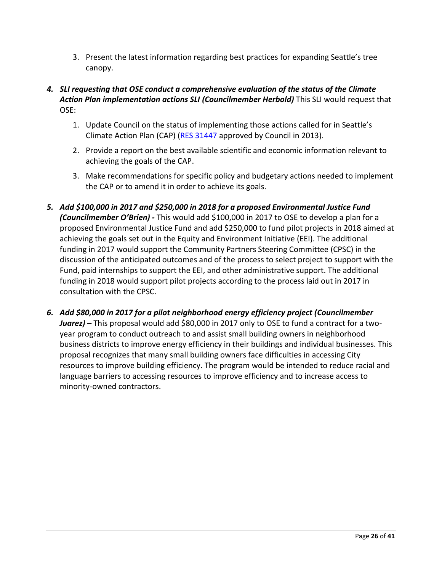3. Present the latest information regarding best practices for expanding Seattle's tree canopy.

## *4. SLI requesting that OSE conduct a comprehensive evaluation of the status of the Climate Action Plan implementation actions SLI (Councilmember Herbold)* This SLI would request that OSE:

- 1. Update Council on the status of implementing those actions called for in Seattle's Climate Action Plan (CAP) [\(RES 31447](http://clerk.seattle.gov/~scripts/nph-brs.exe?s1=Climate+Action+Plan+&s3=&s2=&s4=&Sect4=AND&l=200&Sect2=THESON&Sect3=PLURON&Sect5=RESNY&Sect6=HITOFF&d=RESF&p=1&u=%2F%7Epublic%2Fresny.htm&r=2&f=G) approved by Council in 2013).
- 2. Provide a report on the best available scientific and economic information relevant to achieving the goals of the CAP.
- 3. Make recommendations for specific policy and budgetary actions needed to implement the CAP or to amend it in order to achieve its goals.
- *5. Add \$100,000 in 2017 and \$250,000 in 2018 for a proposed Environmental Justice Fund (Councilmember O'Brien) -* This would add \$100,000 in 2017 to OSE to develop a plan for a proposed Environmental Justice Fund and add \$250,000 to fund pilot projects in 2018 aimed at achieving the goals set out in the Equity and Environment Initiative (EEI). The additional funding in 2017 would support the Community Partners Steering Committee (CPSC) in the discussion of the anticipated outcomes and of the process to select project to support with the Fund, paid internships to support the EEI, and other administrative support. The additional funding in 2018 would support pilot projects according to the process laid out in 2017 in consultation with the CPSC.
- *6. Add \$80,000 in 2017 for a pilot neighborhood energy efficiency project (Councilmember Juarez) –* This proposal would add \$80,000 in 2017 only to OSE to fund a contract for a twoyear program to conduct outreach to and assist small building owners in neighborhood business districts to improve energy efficiency in their buildings and individual businesses. This proposal recognizes that many small building owners face difficulties in accessing City resources to improve building efficiency. The program would be intended to reduce racial and language barriers to accessing resources to improve efficiency and to increase access to minority-owned contractors.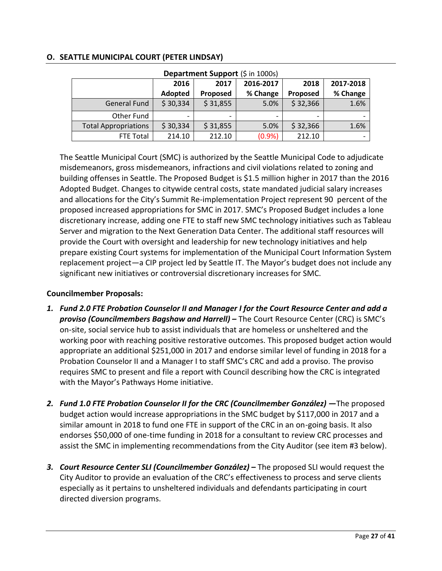## <span id="page-26-0"></span>**O. SEATTLE MUNICIPAL COURT (PETER LINDSAY)**

| Department Support (\$ in 1000s) |          |          |           |          |           |
|----------------------------------|----------|----------|-----------|----------|-----------|
|                                  | 2016     | 2017     | 2016-2017 | 2018     | 2017-2018 |
|                                  | Adopted  | Proposed | % Change  | Proposed | % Change  |
| <b>General Fund</b>              | \$30,334 | \$31,855 | 5.0%      | \$32,366 | 1.6%      |
| Other Fund                       |          |          |           |          |           |
| <b>Total Appropriations</b>      | \$30,334 | \$31,855 | 5.0%      | \$32,366 | 1.6%      |
| FTE Total                        | 214.10   | 212.10   | (0.9%     | 212.10   |           |

The Seattle Municipal Court (SMC) is authorized by the Seattle Municipal Code to adjudicate misdemeanors, gross misdemeanors, infractions and civil violations related to zoning and building offenses in Seattle. The Proposed Budget is \$1.5 million higher in 2017 than the 2016 Adopted Budget. Changes to citywide central costs, state mandated judicial salary increases and allocations for the City's Summit Re-implementation Project represent 90 percent of the proposed increased appropriations for SMC in 2017. SMC's Proposed Budget includes a lone discretionary increase, adding one FTE to staff new SMC technology initiatives such as Tableau Server and migration to the Next Generation Data Center. The additional staff resources will provide the Court with oversight and leadership for new technology initiatives and help prepare existing Court systems for implementation of the Municipal Court Information System replacement project—a CIP project led by Seattle IT. The Mayor's budget does not include any significant new initiatives or controversial discretionary increases for SMC.

#### **Councilmember Proposals:**

- *1. Fund 2.0 FTE Probation Counselor II and Manager I for the Court Resource Center and add a proviso (Councilmembers Bagshaw and Harrell) –* The Court Resource Center (CRC) is SMC's on-site, social service hub to assist individuals that are homeless or unsheltered and the working poor with reaching positive restorative outcomes. This proposed budget action would appropriate an additional \$251,000 in 2017 and endorse similar level of funding in 2018 for a Probation Counselor II and a Manager I to staff SMC's CRC and add a proviso. The proviso requires SMC to present and file a report with Council describing how the CRC is integrated with the Mayor's Pathways Home initiative.
- *2. Fund 1.0 FTE Probation Counselor II for the CRC (Councilmember González) —*The proposed budget action would increase appropriations in the SMC budget by \$117,000 in 2017 and a similar amount in 2018 to fund one FTE in support of the CRC in an on-going basis. It also endorses \$50,000 of one-time funding in 2018 for a consultant to review CRC processes and assist the SMC in implementing recommendations from the City Auditor (see item #3 below).
- *3. Court Resource Center SLI (Councilmember González)* **–** The proposed SLI would request the City Auditor to provide an evaluation of the CRC's effectiveness to process and serve clients especially as it pertains to unsheltered individuals and defendants participating in court directed diversion programs.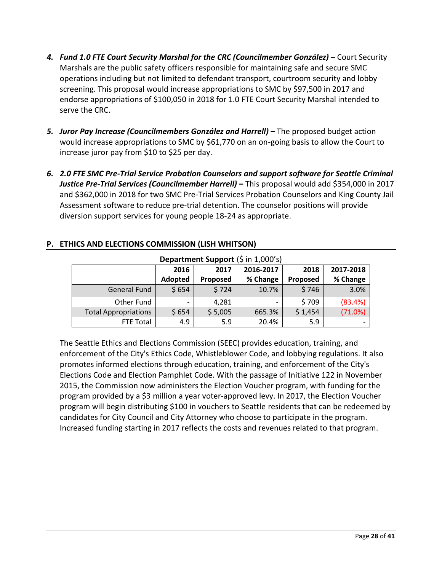- *4. Fund 1.0 FTE Court Security Marshal for the CRC (Councilmember González) –* Court Security Marshals are the public safety officers responsible for maintaining safe and secure SMC operations including but not limited to defendant transport, courtroom security and lobby screening. This proposal would increase appropriations to SMC by \$97,500 in 2017 and endorse appropriations of \$100,050 in 2018 for 1.0 FTE Court Security Marshal intended to serve the CRC.
- **5.** *Juror Pay Increase (Councilmembers González and Harrell) –* The proposed budget action would increase appropriations to SMC by \$61,770 on an on-going basis to allow the Court to increase juror pay from \$10 to \$25 per day.
- *6. 2.0 FTE SMC Pre-Trial Service Probation Counselors and support software for Seattle Criminal Justice Pre-Trial Services (Councilmember Harrell)* **–** This proposal would add \$354,000 in 2017 and \$362,000 in 2018 for two SMC Pre-Trial Services Probation Counselors and King County Jail Assessment software to reduce pre-trial detention. The counselor positions will provide diversion support services for young people 18-24 as appropriate.

| Department Support (\$ in 1,000's) |         |          |           |                 |           |
|------------------------------------|---------|----------|-----------|-----------------|-----------|
|                                    | 2016    | 2017     | 2016-2017 | 2018            | 2017-2018 |
|                                    | Adopted | Proposed | % Change  | <b>Proposed</b> | % Change  |
| <b>General Fund</b>                | \$654   | \$724    | 10.7%     | \$746           | 3.0%      |
| Other Fund                         |         | 4,281    |           | \$709           | (83.4%)   |
| <b>Total Appropriations</b>        | \$654   | \$5,005  | 665.3%    | \$1,454         | (71.0%)   |
| <b>FTE Total</b>                   | 4.9     | 5.9      | 20.4%     | 5.9             |           |

## <span id="page-27-0"></span>**P. ETHICS AND ELECTIONS COMMISSION (LISH WHITSON)**

The Seattle Ethics and Elections Commission (SEEC) provides education, training, and enforcement of the City's Ethics Code, Whistleblower Code, and lobbying regulations. It also promotes informed elections through education, training, and enforcement of the City's Elections Code and Election Pamphlet Code. With the passage of Initiative 122 in November 2015, the Commission now administers the Election Voucher program, with funding for the program provided by a \$3 million a year voter-approved levy. In 2017, the Election Voucher program will begin distributing \$100 in vouchers to Seattle residents that can be redeemed by candidates for City Council and City Attorney who choose to participate in the program. Increased funding starting in 2017 reflects the costs and revenues related to that program.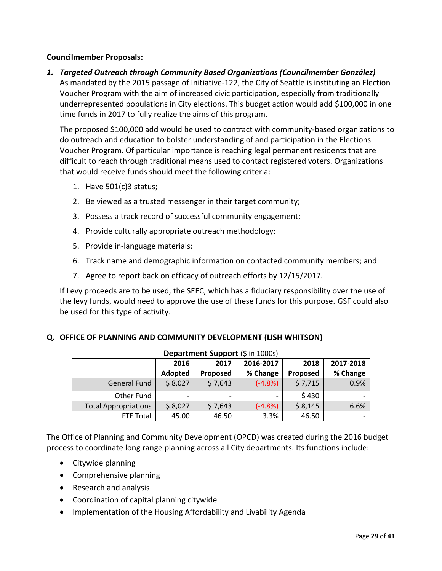#### **Councilmember Proposals:**

*1. Targeted Outreach through Community Based Organizations (Councilmember González)* As mandated by the 2015 passage of Initiative-122, the City of Seattle is instituting an Election Voucher Program with the aim of increased civic participation, especially from traditionally underrepresented populations in City elections. This budget action would add \$100,000 in one time funds in 2017 to fully realize the aims of this program.

The proposed \$100,000 add would be used to contract with community-based organizations to do outreach and education to bolster understanding of and participation in the Elections Voucher Program. Of particular importance is reaching legal permanent residents that are difficult to reach through traditional means used to contact registered voters. Organizations that would receive funds should meet the following criteria:

- 1. Have 501(c)3 status;
- 2. Be viewed as a trusted messenger in their target community;
- 3. Possess a track record of successful community engagement;
- 4. Provide culturally appropriate outreach methodology;
- 5. Provide in-language materials;
- 6. Track name and demographic information on contacted community members; and
- 7. Agree to report back on efficacy of outreach efforts by 12/15/2017.

If Levy proceeds are to be used, the SEEC, which has a fiduciary responsibility over the use of the levy funds, would need to approve the use of these funds for this purpose. GSF could also be used for this type of activity.

#### <span id="page-28-0"></span>**Q. OFFICE OF PLANNING AND COMMUNITY DEVELOPMENT (LISH WHITSON)**

| Department Support (\$ in 1000s) |         |                          |           |                 |           |
|----------------------------------|---------|--------------------------|-----------|-----------------|-----------|
|                                  | 2016    | 2017                     | 2016-2017 | 2018            | 2017-2018 |
|                                  | Adopted | <b>Proposed</b>          | % Change  | <b>Proposed</b> | % Change  |
| <b>General Fund</b>              | \$8,027 | \$7,643                  | $(-4.8%)$ | \$7,715         | 0.9%      |
| Other Fund                       |         | $\overline{\phantom{0}}$ | -         | \$430           |           |
| <b>Total Appropriations</b>      | \$8,027 | \$7,643                  | $(-4.8%)$ | \$8,145         | 6.6%      |
| <b>FTE Total</b>                 | 45.00   | 46.50                    | 3.3%      | 46.50           |           |

The Office of Planning and Community Development (OPCD) was created during the 2016 budget process to coordinate long range planning across all City departments. Its functions include:

- Citywide planning
- Comprehensive planning
- Research and analysis
- Coordination of capital planning citywide
- Implementation of the Housing Affordability and Livability Agenda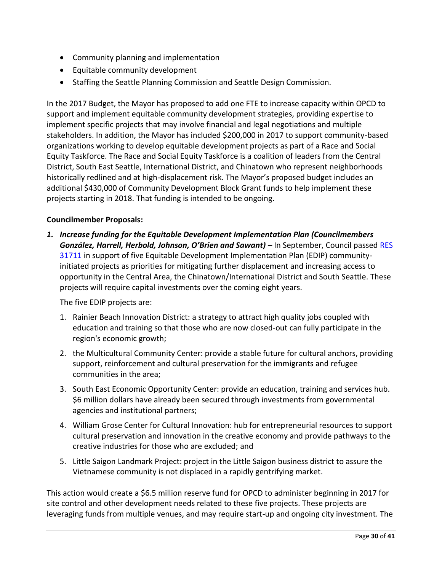- Community planning and implementation
- $\bullet$  Equitable community development
- Staffing the Seattle Planning Commission and Seattle Design Commission.

In the 2017 Budget, the Mayor has proposed to add one FTE to increase capacity within OPCD to support and implement equitable community development strategies, providing expertise to implement specific projects that may involve financial and legal negotiations and multiple stakeholders. In addition, the Mayor has included \$200,000 in 2017 to support community-based organizations working to develop equitable development projects as part of a Race and Social Equity Taskforce. The Race and Social Equity Taskforce is a coalition of leaders from the Central District, South East Seattle, International District, and Chinatown who represent neighborhoods historically redlined and at high-displacement risk. The Mayor's proposed budget includes an additional \$430,000 of Community Development Block Grant funds to help implement these projects starting in 2018. That funding is intended to be ongoing.

## **Councilmember Proposals:**

*1. Increase funding for the Equitable Development Implementation Plan (Councilmembers González, Harrell, Herbold, Johnson, O'Brien and Sawant) –* In September, Council passed [RES](http://clerk.seattle.gov/~scripts/nph-brs.exe?s1=&s3=31711+&s2=&s4=&Sect4=AND&l=200&Sect2=THESON&Sect3=PLURON&Sect5=RESNY&Sect6=HITOFF&d=RESF&p=1&u=%2F%7Epublic%2Fresny.htm&r=1&f=G)  [31711](http://clerk.seattle.gov/~scripts/nph-brs.exe?s1=&s3=31711+&s2=&s4=&Sect4=AND&l=200&Sect2=THESON&Sect3=PLURON&Sect5=RESNY&Sect6=HITOFF&d=RESF&p=1&u=%2F%7Epublic%2Fresny.htm&r=1&f=G) in support of five Equitable Development Implementation Plan (EDIP) communityinitiated projects as priorities for mitigating further displacement and increasing access to opportunity in the Central Area, the Chinatown/International District and South Seattle. These projects will require capital investments over the coming eight years.

The five EDIP projects are:

- 1. Rainier Beach Innovation District: a strategy to attract high quality jobs coupled with education and training so that those who are now closed-out can fully participate in the region's economic growth;
- 2. the Multicultural Community Center: provide a stable future for cultural anchors, providing support, reinforcement and cultural preservation for the immigrants and refugee communities in the area;
- 3. South East Economic Opportunity Center: provide an education, training and services hub. \$6 million dollars have already been secured through investments from governmental agencies and institutional partners;
- 4. William Grose Center for Cultural Innovation: hub for entrepreneurial resources to support cultural preservation and innovation in the creative economy and provide pathways to the creative industries for those who are excluded; and
- 5. Little Saigon Landmark Project: project in the Little Saigon business district to assure the Vietnamese community is not displaced in a rapidly gentrifying market.

This action would create a \$6.5 million reserve fund for OPCD to administer beginning in 2017 for site control and other development needs related to these five projects. These projects are leveraging funds from multiple venues, and may require start-up and ongoing city investment. The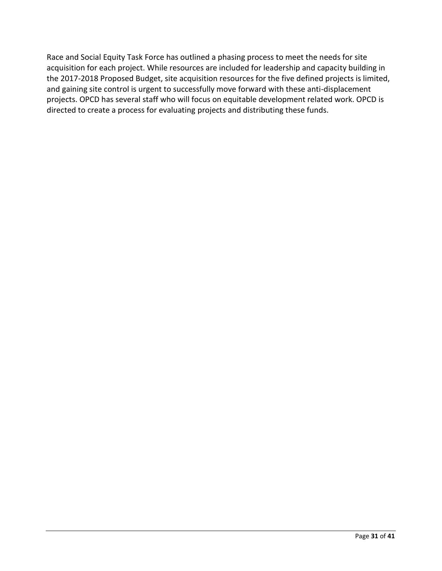Race and Social Equity Task Force has outlined a phasing process to meet the needs for site acquisition for each project. While resources are included for leadership and capacity building in the 2017-2018 Proposed Budget, site acquisition resources for the five defined projects is limited, and gaining site control is urgent to successfully move forward with these anti-displacement projects. OPCD has several staff who will focus on equitable development related work. OPCD is directed to create a process for evaluating projects and distributing these funds.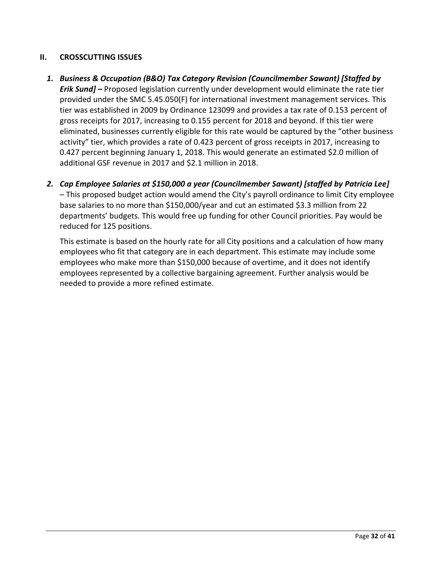## <span id="page-31-0"></span>**II. CROSSCUTTING ISSUES**

reduced for 125 positions.

- *1. Business & Occupation (B&O) Tax Category Revision (Councilmember Sawant) [Staffed by Erik Sund] –* Proposed legislation currently under development would eliminate the rate tier provided under the SMC 5.45.050(F) for international investment management services. This tier was established in 2009 by Ordinance 123099 and provides a tax rate of 0.153 percent of gross receipts for 2017, increasing to 0.155 percent for 2018 and beyond. If this tier were eliminated, businesses currently eligible for this rate would be captured by the "other business activity" tier, which provides a rate of 0.423 percent of gross receipts in 2017, increasing to 0.427 percent beginning January 1, 2018. This would generate an estimated \$2.0 million of additional GSF revenue in 2017 and \$2.1 million in 2018.
- *2. Cap Employee Salaries at \$150,000 a year (Councilmember Sawant) [staffed by Patricia Lee]* – This proposed budget action would amend the City's payroll ordinance to limit City employee base salaries to no more than \$150,000/year and cut an estimated \$3.3 million from 22 departments' budgets. This would free up funding for other Council priorities. Pay would be

This estimate is based on the hourly rate for all City positions and a calculation of how many employees who fit that category are in each department. This estimate may include some employees who make more than \$150,000 because of overtime, and it does not identify employees represented by a collective bargaining agreement. Further analysis would be needed to provide a more refined estimate.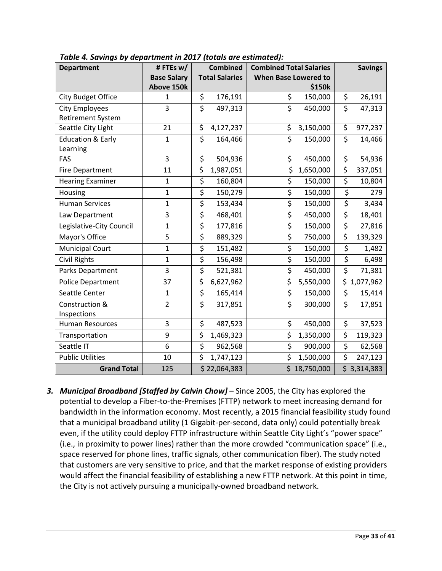| <b>Department</b>            | #FTEsw/            | <b>Combined</b>             | <b>Combined Total Salaries</b>             | <b>Savings</b>                    |
|------------------------------|--------------------|-----------------------------|--------------------------------------------|-----------------------------------|
|                              | <b>Base Salary</b> | <b>Total Salaries</b>       | <b>When Base Lowered to</b>                |                                   |
|                              | Above 150k         |                             | \$150k                                     |                                   |
| City Budget Office           | 1                  | \$<br>176,191               | \$<br>150,000                              | \$<br>26,191                      |
| <b>City Employees</b>        | 3                  | $\overline{\xi}$<br>497,313 | $\overline{\boldsymbol{\zeta}}$<br>450,000 | $\overline{\xi}$<br>47,313        |
| <b>Retirement System</b>     |                    |                             |                                            |                                   |
| Seattle City Light           | 21                 | \$<br>4,127,237             | \$<br>3,150,000                            | \$<br>977,237                     |
| <b>Education &amp; Early</b> | $\mathbf{1}$       | \$<br>164,466               | \$<br>150,000                              | $\zeta$<br>14,466                 |
| Learning                     |                    |                             |                                            |                                   |
| FAS                          | 3                  | \$<br>504,936               | \$<br>450,000                              | \$<br>54,936                      |
| <b>Fire Department</b>       | 11                 | \$<br>1,987,051             | \$<br>1,650,000                            | $\overline{\xi}$<br>337,051       |
| <b>Hearing Examiner</b>      | $\mathbf{1}$       | \$<br>160,804               | \$<br>150,000                              | \$<br>10,804                      |
| Housing                      | $\mathbf{1}$       | $\overline{\xi}$<br>150,279 | \$<br>150,000                              | $\overline{\xi}$<br>279           |
| <b>Human Services</b>        | $\mathbf{1}$       | $\overline{\xi}$<br>153,434 | $\overline{\boldsymbol{\zeta}}$<br>150,000 | $\overline{\xi}$<br>3,434         |
| Law Department               | 3                  | \$<br>468,401               | $\overline{\xi}$<br>450,000                | $\overline{\varsigma}$<br>18,401  |
| Legislative-City Council     | $\mathbf{1}$       | \$<br>177,816               | \$<br>150,000                              | $\overline{\xi}$<br>27,816        |
| Mayor's Office               | 5                  | \$<br>889,329               | \$<br>750,000                              | \$<br>139,329                     |
| <b>Municipal Court</b>       | $\mathbf{1}$       | \$<br>151,482               | $\overline{\xi}$<br>150,000                | \$<br>1,482                       |
| Civil Rights                 | $\mathbf{1}$       | \$<br>156,498               | \$<br>150,000                              | \$<br>6,498                       |
| Parks Department             | 3                  | $\overline{\xi}$<br>521,381 | $\overline{\xi}$<br>450,000                | $\overline{\mathsf{S}}$<br>71,381 |
| Police Department            | 37                 | \$<br>6,627,962             | \$<br>5,550,000                            | \$<br>1,077,962                   |
| Seattle Center               | $\mathbf{1}$       | \$<br>165,414               | $\overline{\varsigma}$<br>150,000          | \$<br>15,414                      |
| Construction &               | $\overline{2}$     | $\overline{\xi}$<br>317,851 | $\overline{\xi}$<br>300,000                | \$<br>17,851                      |
| Inspections                  |                    |                             |                                            |                                   |
| <b>Human Resources</b>       | 3                  | \$<br>487,523               | \$<br>450,000                              | \$<br>37,523                      |
| Transportation               | 9                  | \$<br>1,469,323             | \$<br>1,350,000                            | \$<br>119,323                     |
| Seattle IT                   | 6                  | $\overline{\xi}$<br>962,568 | $\overline{\xi}$<br>900,000                | $\overline{\xi}$<br>62,568        |
| <b>Public Utilities</b>      | 10                 | \$<br>1,747,123             | \$<br>1,500,000                            | \$<br>247,123                     |
| <b>Grand Total</b>           | 125                | \$22,064,383                | \$18,750,000                               | \$3,314,383                       |

*Table 4. Savings by department in 2017 (totals are estimated):*

*3. Municipal Broadband [Staffed by Calvin Chow]* – Since 2005, the City has explored the potential to develop a Fiber-to-the-Premises (FTTP) network to meet increasing demand for bandwidth in the information economy. Most recently, a 2015 financial feasibility study found that a municipal broadband utility (1 Gigabit-per-second, data only) could potentially break even, if the utility could deploy FTTP infrastructure within Seattle City Light's "power space" (i.e., in proximity to power lines) rather than the more crowded "communication space" (i.e., space reserved for phone lines, traffic signals, other communication fiber). The study noted that customers are very sensitive to price, and that the market response of existing providers would affect the financial feasibility of establishing a new FTTP network. At this point in time, the City is not actively pursuing a municipally-owned broadband network.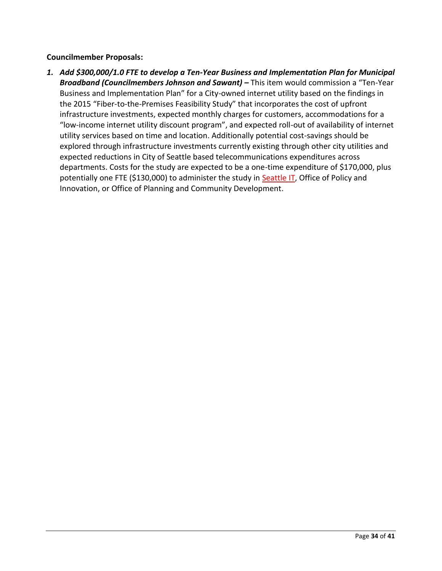#### **Councilmember Proposals:**

*1. Add \$300,000/1.0 FTE to develop a Ten-Year Business and Implementation Plan for Municipal*  **Broadband (Councilmembers Johnson and Sawant) –** This item would commission a "Ten-Year Business and Implementation Plan" for a City-owned internet utility based on the findings in the 2015 "Fiber-to-the-Premises Feasibility Study" that incorporates the cost of upfront infrastructure investments, expected monthly charges for customers, accommodations for a "low-income internet utility discount program", and expected roll-out of availability of internet utility services based on time and location. Additionally potential cost-savings should be explored through infrastructure investments currently existing through other city utilities and expected reductions in City of Seattle based telecommunications expenditures across departments. Costs for the study are expected to be a one-time expenditure of \$170,000, plus potentially one FTE (\$130,000) to administer the study in **Seattle IT**, Office of Policy and Innovation, or Office of Planning and Community Development.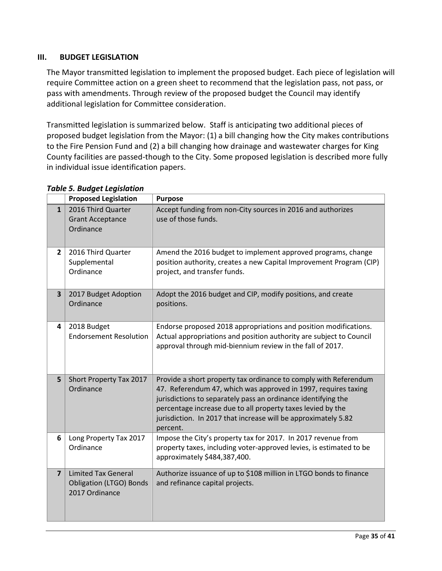#### <span id="page-34-0"></span>**III. BUDGET LEGISLATION**

The Mayor transmitted legislation to implement the proposed budget. Each piece of legislation will require Committee action on a green sheet to recommend that the legislation pass, not pass, or pass with amendments. Through review of the proposed budget the Council may identify additional legislation for Committee consideration.

Transmitted legislation is summarized below. Staff is anticipating two additional pieces of proposed budget legislation from the Mayor: (1) a bill changing how the City makes contributions to the Fire Pension Fund and (2) a bill changing how drainage and wastewater charges for King County facilities are passed-though to the City. Some proposed legislation is described more fully in individual issue identification papers.

|                         | <b>Proposed Legislation</b>                                                    | <b>Purpose</b>                                                                                                                                                                                                                                                                                                                                   |
|-------------------------|--------------------------------------------------------------------------------|--------------------------------------------------------------------------------------------------------------------------------------------------------------------------------------------------------------------------------------------------------------------------------------------------------------------------------------------------|
| $\mathbf{1}$            | 2016 Third Quarter<br><b>Grant Acceptance</b><br>Ordinance                     | Accept funding from non-City sources in 2016 and authorizes<br>use of those funds.                                                                                                                                                                                                                                                               |
| $\overline{2}$          | 2016 Third Quarter<br>Supplemental<br>Ordinance                                | Amend the 2016 budget to implement approved programs, change<br>position authority, creates a new Capital Improvement Program (CIP)<br>project, and transfer funds.                                                                                                                                                                              |
| $\overline{\mathbf{3}}$ | 2017 Budget Adoption<br>Ordinance                                              | Adopt the 2016 budget and CIP, modify positions, and create<br>positions.                                                                                                                                                                                                                                                                        |
| 4                       | 2018 Budget<br><b>Endorsement Resolution</b>                                   | Endorse proposed 2018 appropriations and position modifications.<br>Actual appropriations and position authority are subject to Council<br>approval through mid-biennium review in the fall of 2017.                                                                                                                                             |
| 5                       | Short Property Tax 2017<br>Ordinance                                           | Provide a short property tax ordinance to comply with Referendum<br>47. Referendum 47, which was approved in 1997, requires taxing<br>jurisdictions to separately pass an ordinance identifying the<br>percentage increase due to all property taxes levied by the<br>jurisdiction. In 2017 that increase will be approximately 5.82<br>percent. |
| 6                       | Long Property Tax 2017<br>Ordinance                                            | Impose the City's property tax for 2017. In 2017 revenue from<br>property taxes, including voter-approved levies, is estimated to be<br>approximately \$484,387,400.                                                                                                                                                                             |
| $\overline{7}$          | <b>Limited Tax General</b><br><b>Obligation (LTGO) Bonds</b><br>2017 Ordinance | Authorize issuance of up to \$108 million in LTGO bonds to finance<br>and refinance capital projects.                                                                                                                                                                                                                                            |

## *Table 5. Budget Legislation*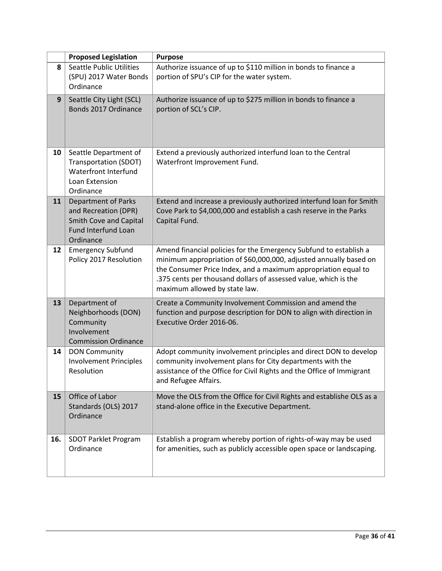|     | <b>Proposed Legislation</b>                                                                                             | <b>Purpose</b>                                                                                                                                                                                                                                                                                               |
|-----|-------------------------------------------------------------------------------------------------------------------------|--------------------------------------------------------------------------------------------------------------------------------------------------------------------------------------------------------------------------------------------------------------------------------------------------------------|
| 8   | <b>Seattle Public Utilities</b><br>(SPU) 2017 Water Bonds<br>Ordinance                                                  | Authorize issuance of up to \$110 million in bonds to finance a<br>portion of SPU's CIP for the water system.                                                                                                                                                                                                |
| 9   | Seattle City Light (SCL)<br>Bonds 2017 Ordinance                                                                        | Authorize issuance of up to \$275 million in bonds to finance a<br>portion of SCL's CIP.                                                                                                                                                                                                                     |
| 10  | Seattle Department of<br><b>Transportation (SDOT)</b><br>Waterfront Interfund<br>Loan Extension<br>Ordinance            | Extend a previously authorized interfund loan to the Central<br>Waterfront Improvement Fund.                                                                                                                                                                                                                 |
| 11  | <b>Department of Parks</b><br>and Recreation (DPR)<br>Smith Cove and Capital<br><b>Fund Interfund Loan</b><br>Ordinance | Extend and increase a previously authorized interfund loan for Smith<br>Cove Park to \$4,000,000 and establish a cash reserve in the Parks<br>Capital Fund.                                                                                                                                                  |
| 12  | <b>Emergency Subfund</b><br>Policy 2017 Resolution                                                                      | Amend financial policies for the Emergency Subfund to establish a<br>minimum appropriation of \$60,000,000, adjusted annually based on<br>the Consumer Price Index, and a maximum appropriation equal to<br>.375 cents per thousand dollars of assessed value, which is the<br>maximum allowed by state law. |
| 13  | Department of<br>Neighborhoods (DON)<br>Community<br>Involvement<br><b>Commission Ordinance</b>                         | Create a Community Involvement Commission and amend the<br>function and purpose description for DON to align with direction in<br>Executive Order 2016-06.                                                                                                                                                   |
| 14  | <b>DON Community</b><br><b>Involvement Principles</b><br>Resolution                                                     | Adopt community involvement principles and direct DON to develop<br>community involvement plans for City departments with the<br>assistance of the Office for Civil Rights and the Office of Immigrant<br>and Refugee Affairs.                                                                               |
| 15  | Office of Labor<br>Standards (OLS) 2017<br>Ordinance                                                                    | Move the OLS from the Office for Civil Rights and establishe OLS as a<br>stand-alone office in the Executive Department.                                                                                                                                                                                     |
| 16. | SDOT Parklet Program<br>Ordinance                                                                                       | Establish a program whereby portion of rights-of-way may be used<br>for amenities, such as publicly accessible open space or landscaping.                                                                                                                                                                    |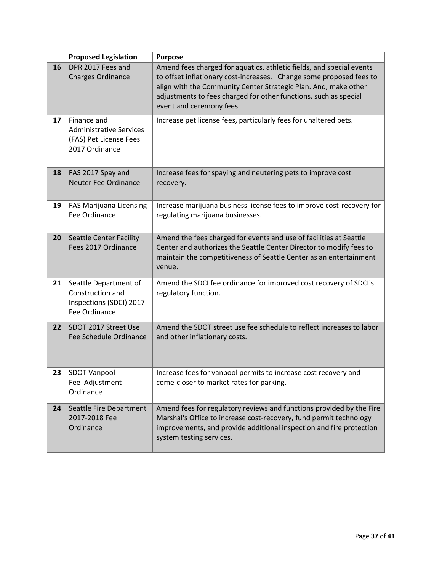|    | <b>Proposed Legislation</b>                                                               | <b>Purpose</b>                                                                                                                                                                                                                                                                                                 |
|----|-------------------------------------------------------------------------------------------|----------------------------------------------------------------------------------------------------------------------------------------------------------------------------------------------------------------------------------------------------------------------------------------------------------------|
| 16 | DPR 2017 Fees and<br><b>Charges Ordinance</b>                                             | Amend fees charged for aquatics, athletic fields, and special events<br>to offset inflationary cost-increases. Change some proposed fees to<br>align with the Community Center Strategic Plan. And, make other<br>adjustments to fees charged for other functions, such as special<br>event and ceremony fees. |
| 17 | Finance and<br><b>Administrative Services</b><br>(FAS) Pet License Fees<br>2017 Ordinance | Increase pet license fees, particularly fees for unaltered pets.                                                                                                                                                                                                                                               |
| 18 | FAS 2017 Spay and<br><b>Neuter Fee Ordinance</b>                                          | Increase fees for spaying and neutering pets to improve cost<br>recovery.                                                                                                                                                                                                                                      |
| 19 | <b>FAS Marijuana Licensing</b><br>Fee Ordinance                                           | Increase marijuana business license fees to improve cost-recovery for<br>regulating marijuana businesses.                                                                                                                                                                                                      |
| 20 | <b>Seattle Center Facility</b><br>Fees 2017 Ordinance                                     | Amend the fees charged for events and use of facilities at Seattle<br>Center and authorizes the Seattle Center Director to modify fees to<br>maintain the competitiveness of Seattle Center as an entertainment<br>venue.                                                                                      |
| 21 | Seattle Department of<br>Construction and<br>Inspections (SDCI) 2017<br>Fee Ordinance     | Amend the SDCI fee ordinance for improved cost recovery of SDCI's<br>regulatory function.                                                                                                                                                                                                                      |
| 22 | SDOT 2017 Street Use<br>Fee Schedule Ordinance                                            | Amend the SDOT street use fee schedule to reflect increases to labor<br>and other inflationary costs.                                                                                                                                                                                                          |
| 23 | <b>SDOT Vanpool</b><br>Fee Adjustment<br>Ordinance                                        | Increase fees for vanpool permits to increase cost recovery and<br>come-closer to market rates for parking.                                                                                                                                                                                                    |
| 24 | Seattle Fire Department<br>2017-2018 Fee<br>Ordinance                                     | Amend fees for regulatory reviews and functions provided by the Fire<br>Marshal's Office to increase cost-recovery, fund permit technology<br>improvements, and provide additional inspection and fire protection<br>system testing services.                                                                  |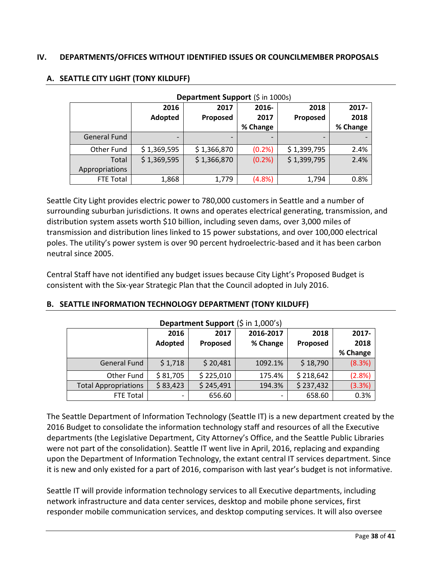#### <span id="page-37-0"></span>**IV. DEPARTMENTS/OFFICES WITHOUT IDENTIFIED ISSUES OR COUNCILMEMBER PROPOSALS**

| Department Support (\$ in 1000s) |             |             |          |             |          |  |  |
|----------------------------------|-------------|-------------|----------|-------------|----------|--|--|
|                                  | 2016        | 2017        | $2016 -$ | 2018        | 2017-    |  |  |
|                                  | Adopted     | Proposed    | 2017     | Proposed    | 2018     |  |  |
|                                  |             |             | % Change |             | % Change |  |  |
| <b>General Fund</b>              |             |             |          |             |          |  |  |
| Other Fund                       | \$1,369,595 | \$1,366,870 | (0.2%)   | \$1,399,795 | 2.4%     |  |  |
| Total                            | \$1,369,595 | \$1,366,870 | (0.2% )  | \$1,399,795 | 2.4%     |  |  |
| Appropriations                   |             |             |          |             |          |  |  |
| <b>FTE Total</b>                 | 1,868       | 1,779       | (4.8%)   | 1,794       | 0.8%     |  |  |

#### **A. SEATTLE CITY LIGHT (TONY KILDUFF)**

Seattle City Light provides electric power to 780,000 customers in Seattle and a number of surrounding suburban jurisdictions. It owns and operates electrical generating, transmission, and distribution system assets worth \$10 billion, including seven dams, over 3,000 miles of transmission and distribution lines linked to 15 power substations, and over 100,000 electrical poles. The utility's power system is over 90 percent hydroelectric-based and it has been carbon neutral since 2005.

Central Staff have not identified any budget issues because City Light's Proposed Budget is consistent with the Six-year Strategic Plan that the Council adopted in July 2016.

| Department Support (\$ in 1,000's) |          |           |           |           |          |  |  |
|------------------------------------|----------|-----------|-----------|-----------|----------|--|--|
|                                    | 2016     | 2017      | 2016-2017 | 2018      | 2017-    |  |  |
|                                    | Adopted  | Proposed  | % Change  | Proposed  | 2018     |  |  |
|                                    |          |           |           |           | % Change |  |  |
| <b>General Fund</b>                | \$1,718  | \$20,481  | 1092.1%   | \$18,790  | (8.3%)   |  |  |
| Other Fund                         | \$81,705 | \$225,010 | 175.4%    | \$218,642 | (2.8%)   |  |  |
| <b>Total Appropriations</b>        | \$83,423 | \$245,491 | 194.3%    | \$237,432 | (3.3%)   |  |  |
| FTE Total                          |          | 656.60    |           | 658.60    | 0.3%     |  |  |

#### **B. SEATTLE INFORMATION TECHNOLOGY DEPARTMENT (TONY KILDUFF)**

The Seattle Department of Information Technology (Seattle IT) is a new department created by the 2016 Budget to consolidate the information technology staff and resources of all the Executive departments (the Legislative Department, City Attorney's Office, and the Seattle Public Libraries were not part of the consolidation). Seattle IT went live in April, 2016, replacing and expanding upon the Department of Information Technology, the extant central IT services department. Since it is new and only existed for a part of 2016, comparison with last year's budget is not informative.

Seattle IT will provide information technology services to all Executive departments, including network infrastructure and data center services, desktop and mobile phone services, first responder mobile communication services, and desktop computing services. It will also oversee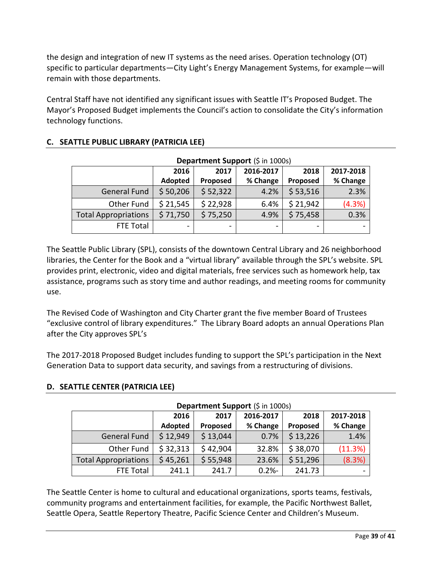the design and integration of new IT systems as the need arises. Operation technology (OT) specific to particular departments—City Light's Energy Management Systems, for example—will remain with those departments.

Central Staff have not identified any significant issues with Seattle IT's Proposed Budget. The Mayor's Proposed Budget implements the Council's action to consolidate the City's information technology functions.

| Department Support (\$ in 1000s) |          |          |           |          |           |  |  |
|----------------------------------|----------|----------|-----------|----------|-----------|--|--|
|                                  | 2016     | 2017     | 2016-2017 | 2018     | 2017-2018 |  |  |
|                                  | Adopted  | Proposed | % Change  | Proposed | % Change  |  |  |
| General Fund                     | \$50,206 | \$52,322 | 4.2%      | \$53,516 | 2.3%      |  |  |
| Other Fund                       | \$21,545 | \$22,928 | 6.4%      | \$21,942 | (4.3%)    |  |  |
| <b>Total Appropriations</b>      | \$71,750 | \$75,250 | 4.9%      | \$75,458 | 0.3%      |  |  |
| FTE Total                        |          | -        | -         | -        | -         |  |  |

## **C. SEATTLE PUBLIC LIBRARY (PATRICIA LEE)**

The Seattle Public Library (SPL), consists of the downtown Central Library and 26 neighborhood libraries, the Center for the Book and a "virtual library" available through the SPL's website. SPL provides print, electronic, video and digital materials, free services such as homework help, tax assistance, programs such as story time and author readings, and meeting rooms for community use.

The Revised Code of Washington and City Charter grant the five member Board of Trustees "exclusive control of library expenditures." The Library Board adopts an annual Operations Plan after the City approves SPL's

The 2017-2018 Proposed Budget includes funding to support the SPL's participation in the Next Generation Data to support data security, and savings from a restructuring of divisions.

| Department Support (\$ in 1000s) |          |          |           |          |           |  |  |
|----------------------------------|----------|----------|-----------|----------|-----------|--|--|
|                                  | 2016     | 2017     | 2016-2017 | 2018     | 2017-2018 |  |  |
|                                  | Adopted  | Proposed | % Change  | Proposed | % Change  |  |  |
| <b>General Fund</b>              | \$12,949 | \$13,044 | 0.7%      | \$13,226 | 1.4%      |  |  |
| Other Fund                       | \$32,313 | \$42,904 | 32.8%     | \$38,070 | (11.3%)   |  |  |
| <b>Total Appropriations</b>      | \$45,261 | \$55,948 | 23.6%     | \$51,296 | (8.3%)    |  |  |
| FTE Total                        | 241.1    | 241.7    | $0.2% -$  | 241.73   |           |  |  |

## **D. SEATTLE CENTER (PATRICIA LEE)**

The Seattle Center is home to cultural and educational organizations, sports teams, festivals, community programs and entertainment facilities, for example, the Pacific Northwest Ballet, Seattle Opera, Seattle Repertory Theatre, Pacific Science Center and Children's Museum.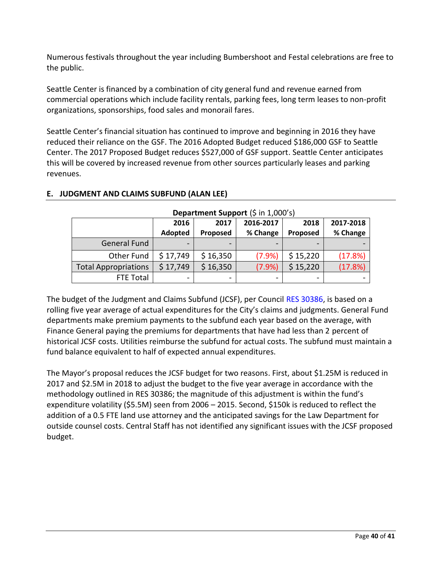Numerous festivals throughout the year including Bumbershoot and Festal celebrations are free to the public.

Seattle Center is financed by a combination of city general fund and revenue earned from commercial operations which include facility rentals, parking fees, long term leases to non-profit organizations, sponsorships, food sales and monorail fares.

Seattle Center's financial situation has continued to improve and beginning in 2016 they have reduced their reliance on the GSF. The 2016 Adopted Budget reduced \$186,000 GSF to Seattle Center. The 2017 Proposed Budget reduces \$527,000 of GSF support. Seattle Center anticipates this will be covered by increased revenue from other sources particularly leases and parking revenues.

|                             | 2016<br>Adopted | 2017<br>Proposed | 2016-2017<br>% Change | 2018<br>Proposed | 2017-2018<br>% Change |
|-----------------------------|-----------------|------------------|-----------------------|------------------|-----------------------|
| <b>General Fund</b>         |                 |                  |                       |                  |                       |
| Other Fund                  | \$17,749        | \$16,350         | (7.9%                 | \$15,220         | (17.8%)               |
| <b>Total Appropriations</b> | \$17,749        | \$16,350         | (7.9%)                | \$15,220         | (17.8%)               |
| FTE Total                   | -               |                  | -                     | -                |                       |

**Department Support** (\$ in 1,000's)

## **E. JUDGMENT AND CLAIMS SUBFUND (ALAN LEE)**

fund balance equivalent to half of expected annual expenditures.

The budget of the Judgment and Claims Subfund (JCSF), per Council [RES 30386,](http://clerk.seattle.gov/~scripts/nph-brs.exe?s1=&s3=30386&s2=&s4=&Sect4=AND&l=200&Sect2=THESON&Sect3=PLURON&Sect5=RESNY&Sect6=HITOFF&d=RESF&p=1&u=%2F%7Epublic%2Fresny.htm&r=1&f=G) is based on a rolling five year average of actual expenditures for the City's claims and judgments. General Fund departments make premium payments to the subfund each year based on the average, with Finance General paying the premiums for departments that have had less than 2 percent of historical JCSF costs. Utilities reimburse the subfund for actual costs. The subfund must maintain a

The Mayor's proposal reduces the JCSF budget for two reasons. First, about \$1.25M is reduced in 2017 and \$2.5M in 2018 to adjust the budget to the five year average in accordance with the methodology outlined in RES 30386; the magnitude of this adjustment is within the fund's expenditure volatility (\$5.5M) seen from 2006 – 2015. Second, \$150k is reduced to reflect the addition of a 0.5 FTE land use attorney and the anticipated savings for the Law Department for outside counsel costs. Central Staff has not identified any significant issues with the JCSF proposed budget.